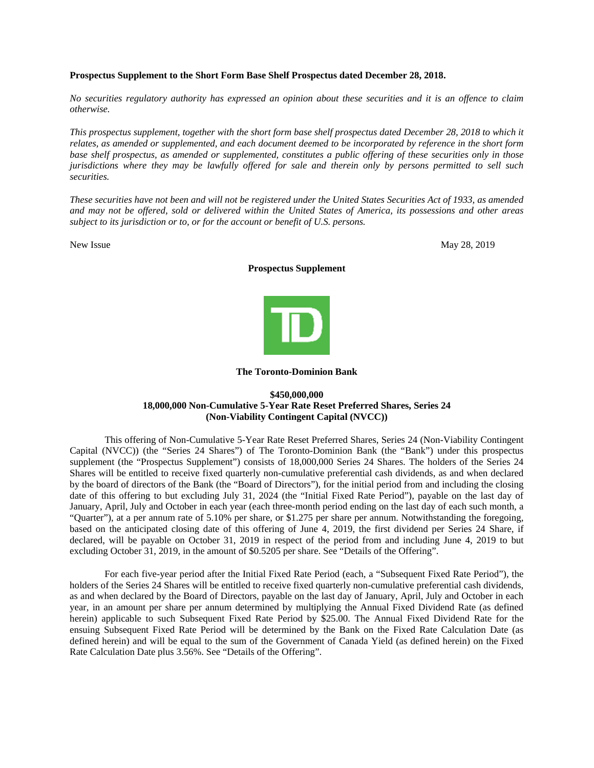### **Prospectus Supplement to the Short Form Base Shelf Prospectus dated December 28, 2018.**

*No securities regulatory authority has expressed an opinion about these securities and it is an offence to claim otherwise.*

*This prospectus supplement, together with the short form base shelf prospectus dated December 28, 2018 to which it relates, as amended or supplemented, and each document deemed to be incorporated by reference in the short form base shelf prospectus, as amended or supplemented, constitutes a public offering of these securities only in those jurisdictions where they may be lawfully offered for sale and therein only by persons permitted to sell such securities.*

*These securities have not been and will not be registered under the United States Securities Act of 1933, as amended and may not be offered, sold or delivered within the United States of America, its possessions and other areas subject to its jurisdiction or to, or for the account or benefit of U.S. persons.*

New Issue May 28, 2019

### **Prospectus Supplement**



#### **The Toronto-Dominion Bank**

# **\$450,000,000 18,000,000 Non-Cumulative 5-Year Rate Reset Preferred Shares, Series 24 (Non-Viability Contingent Capital (NVCC))**

This offering of Non-Cumulative 5-Year Rate Reset Preferred Shares, Series 24 (Non-Viability Contingent Capital (NVCC)) (the "Series 24 Shares") of The Toronto-Dominion Bank (the "Bank") under this prospectus supplement (the "Prospectus Supplement") consists of 18,000,000 Series 24 Shares. The holders of the Series 24 Shares will be entitled to receive fixed quarterly non-cumulative preferential cash dividends, as and when declared by the board of directors of the Bank (the "Board of Directors"), for the initial period from and including the closing date of this offering to but excluding July 31, 2024 (the "Initial Fixed Rate Period"), payable on the last day of January, April, July and October in each year (each three-month period ending on the last day of each such month, a "Quarter"), at a per annum rate of 5.10% per share, or \$1.275 per share per annum. Notwithstanding the foregoing, based on the anticipated closing date of this offering of June 4, 2019, the first dividend per Series 24 Share, if declared, will be payable on October 31, 2019 in respect of the period from and including June 4, 2019 to but excluding October 31, 2019, in the amount of \$0.5205 per share. See "Details of the Offering".

For each five-year period after the Initial Fixed Rate Period (each, a "Subsequent Fixed Rate Period"), the holders of the Series 24 Shares will be entitled to receive fixed quarterly non-cumulative preferential cash dividends, as and when declared by the Board of Directors, payable on the last day of January, April, July and October in each year, in an amount per share per annum determined by multiplying the Annual Fixed Dividend Rate (as defined herein) applicable to such Subsequent Fixed Rate Period by \$25.00. The Annual Fixed Dividend Rate for the ensuing Subsequent Fixed Rate Period will be determined by the Bank on the Fixed Rate Calculation Date (as defined herein) and will be equal to the sum of the Government of Canada Yield (as defined herein) on the Fixed Rate Calculation Date plus 3.56%. See "Details of the Offering".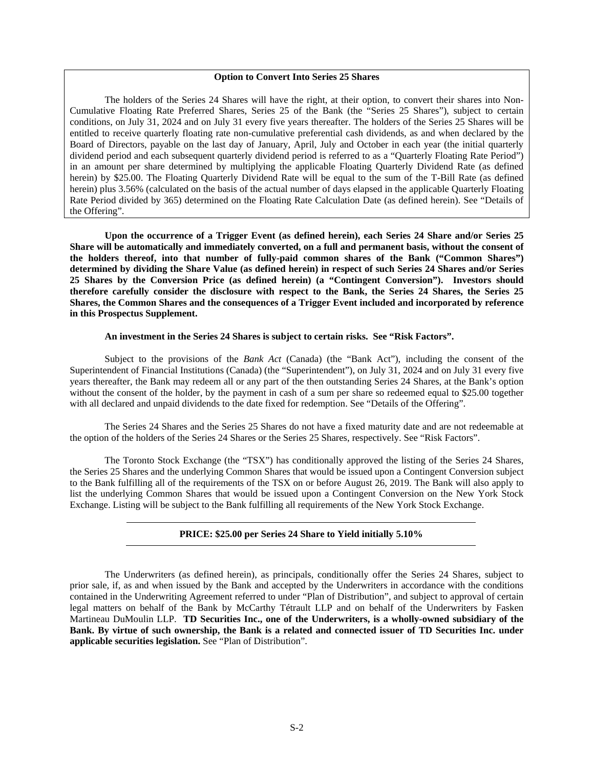### **Option to Convert Into Series 25 Shares**

The holders of the Series 24 Shares will have the right, at their option, to convert their shares into Non-Cumulative Floating Rate Preferred Shares, Series 25 of the Bank (the "Series 25 Shares"), subject to certain conditions, on July 31, 2024 and on July 31 every five years thereafter. The holders of the Series 25 Shares will be entitled to receive quarterly floating rate non-cumulative preferential cash dividends, as and when declared by the Board of Directors, payable on the last day of January, April, July and October in each year (the initial quarterly dividend period and each subsequent quarterly dividend period is referred to as a "Quarterly Floating Rate Period") in an amount per share determined by multiplying the applicable Floating Quarterly Dividend Rate (as defined herein) by \$25.00. The Floating Quarterly Dividend Rate will be equal to the sum of the T-Bill Rate (as defined herein) plus 3.56% (calculated on the basis of the actual number of days elapsed in the applicable Quarterly Floating Rate Period divided by 365) determined on the Floating Rate Calculation Date (as defined herein). See "Details of the Offering".

**Upon the occurrence of a Trigger Event (as defined herein), each Series 24 Share and/or Series 25 Share will be automatically and immediately converted, on a full and permanent basis, without the consent of the holders thereof, into that number of fully-paid common shares of the Bank ("Common Shares") determined by dividing the Share Value (as defined herein) in respect of such Series 24 Shares and/or Series 25 Shares by the Conversion Price (as defined herein) (a "Contingent Conversion"). Investors should therefore carefully consider the disclosure with respect to the Bank, the Series 24 Shares, the Series 25 Shares, the Common Shares and the consequences of a Trigger Event included and incorporated by reference in this Prospectus Supplement.** 

# **An investment in the Series 24 Shares is subject to certain risks. See "Risk Factors".**

Subject to the provisions of the *Bank Act* (Canada) (the "Bank Act"), including the consent of the Superintendent of Financial Institutions (Canada) (the "Superintendent"), on July 31, 2024 and on July 31 every five years thereafter, the Bank may redeem all or any part of the then outstanding Series 24 Shares, at the Bank's option without the consent of the holder, by the payment in cash of a sum per share so redeemed equal to \$25.00 together with all declared and unpaid dividends to the date fixed for redemption. See "Details of the Offering".

The Series 24 Shares and the Series 25 Shares do not have a fixed maturity date and are not redeemable at the option of the holders of the Series 24 Shares or the Series 25 Shares, respectively. See "Risk Factors".

The Toronto Stock Exchange (the "TSX") has conditionally approved the listing of the Series 24 Shares, the Series 25 Shares and the underlying Common Shares that would be issued upon a Contingent Conversion subject to the Bank fulfilling all of the requirements of the TSX on or before August 26, 2019. The Bank will also apply to list the underlying Common Shares that would be issued upon a Contingent Conversion on the New York Stock Exchange. Listing will be subject to the Bank fulfilling all requirements of the New York Stock Exchange.

# **PRICE: \$25.00 per Series 24 Share to Yield initially 5.10%**

The Underwriters (as defined herein), as principals, conditionally offer the Series 24 Shares, subject to prior sale, if, as and when issued by the Bank and accepted by the Underwriters in accordance with the conditions contained in the Underwriting Agreement referred to under "Plan of Distribution", and subject to approval of certain legal matters on behalf of the Bank by McCarthy Tétrault LLP and on behalf of the Underwriters by Fasken Martineau DuMoulin LLP. **TD Securities Inc., one of the Underwriters, is a wholly-owned subsidiary of the Bank. By virtue of such ownership, the Bank is a related and connected issuer of TD Securities Inc. under applicable securities legislation.** See "Plan of Distribution".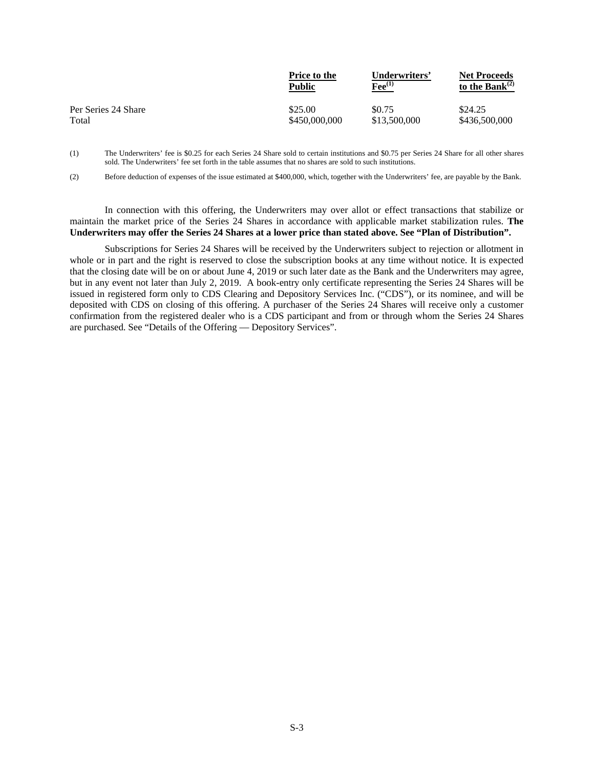|                     | <b>Price to the</b> | Underwriters'            | <b>Net Proceeds</b>  |
|---------------------|---------------------|--------------------------|----------------------|
|                     | Public              | $\mathbf{F}$ ee $^{(1)}$ | to the Bank $^{(2)}$ |
| Per Series 24 Share | \$25.00             | \$0.75                   | \$24.25              |
| Total               | \$450,000,000       | \$13,500,000             | \$436,500,000        |

(1) The Underwriters' fee is \$0.25 for each Series 24 Share sold to certain institutions and \$0.75 per Series 24 Share for all other shares sold. The Underwriters' fee set forth in the table assumes that no shares are sold to such institutions.

(2) Before deduction of expenses of the issue estimated at \$400,000, which, together with the Underwriters' fee, are payable by the Bank.

In connection with this offering, the Underwriters may over allot or effect transactions that stabilize or maintain the market price of the Series 24 Shares in accordance with applicable market stabilization rules. **The Underwriters may offer the Series 24 Shares at a lower price than stated above. See "Plan of Distribution".**

Subscriptions for Series 24 Shares will be received by the Underwriters subject to rejection or allotment in whole or in part and the right is reserved to close the subscription books at any time without notice. It is expected that the closing date will be on or about June 4, 2019 or such later date as the Bank and the Underwriters may agree, but in any event not later than July 2, 2019. A book-entry only certificate representing the Series 24 Shares will be issued in registered form only to CDS Clearing and Depository Services Inc. ("CDS"), or its nominee, and will be deposited with CDS on closing of this offering. A purchaser of the Series 24 Shares will receive only a customer confirmation from the registered dealer who is a CDS participant and from or through whom the Series 24 Shares are purchased. See "Details of the Offering — Depository Services".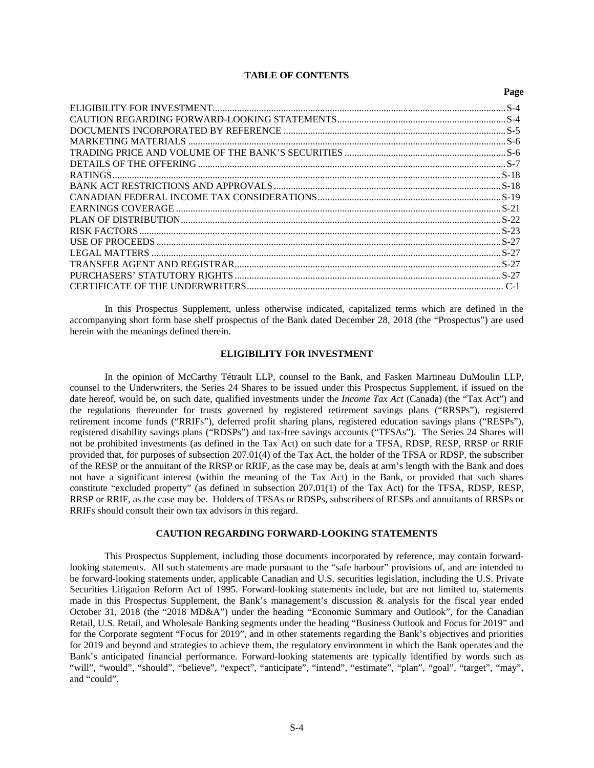# **TABLE OF CONTENTS**

**Page**

In this Prospectus Supplement, unless otherwise indicated, capitalized terms which are defined in the accompanying short form base shelf prospectus of the Bank dated December 28, 2018 (the "Prospectus") are used herein with the meanings defined therein.

### **ELIGIBILITY FOR INVESTMENT**

<span id="page-3-0"></span>In the opinion of McCarthy Tétrault LLP, counsel to the Bank, and Fasken Martineau DuMoulin LLP, counsel to the Underwriters, the Series 24 Shares to be issued under this Prospectus Supplement, if issued on the date hereof, would be, on such date, qualified investments under the *Income Tax Act* (Canada) (the "Tax Act") and the regulations thereunder for trusts governed by registered retirement savings plans ("RRSPs"), registered retirement income funds ("RRIFs"), deferred profit sharing plans, registered education savings plans ("RESPs"), registered disability savings plans ("RDSPs") and tax-free savings accounts ("TFSAs"). The Series 24 Shares will not be prohibited investments (as defined in the Tax Act) on such date for a TFSA, RDSP, RESP, RRSP or RRIF provided that, for purposes of subsection 207.01(4) of the Tax Act, the holder of the TFSA or RDSP, the subscriber of the RESP or the annuitant of the RRSP or RRIF, as the case may be, deals at arm's length with the Bank and does not have a significant interest (within the meaning of the Tax Act) in the Bank, or provided that such shares constitute "excluded property" (as defined in subsection 207.01(1) of the Tax Act) for the TFSA, RDSP, RESP, RRSP or RRIF, as the case may be. Holders of TFSAs or RDSPs, subscribers of RESPs and annuitants of RRSPs or RRIFs should consult their own tax advisors in this regard.

### **CAUTION REGARDING FORWARD-LOOKING STATEMENTS**

<span id="page-3-1"></span>This Prospectus Supplement, including those documents incorporated by reference, may contain forwardlooking statements. All such statements are made pursuant to the "safe harbour" provisions of, and are intended to be forward-looking statements under, applicable Canadian and U.S. securities legislation, including the U.S. Private Securities Litigation Reform Act of 1995. Forward-looking statements include, but are not limited to, statements made in this Prospectus Supplement, the Bank's management's discussion & analysis for the fiscal year ended October 31, 2018 (the "2018 MD&A") under the heading "Economic Summary and Outlook", for the Canadian Retail, U.S. Retail, and Wholesale Banking segments under the heading "Business Outlook and Focus for 2019" and for the Corporate segment "Focus for 2019", and in other statements regarding the Bank's objectives and priorities for 2019 and beyond and strategies to achieve them, the regulatory environment in which the Bank operates and the Bank's anticipated financial performance. Forward-looking statements are typically identified by words such as "will", "would", "should", "believe", "expect", "anticipate", "intend", "estimate", "plan", "goal", "target", "may", and "could".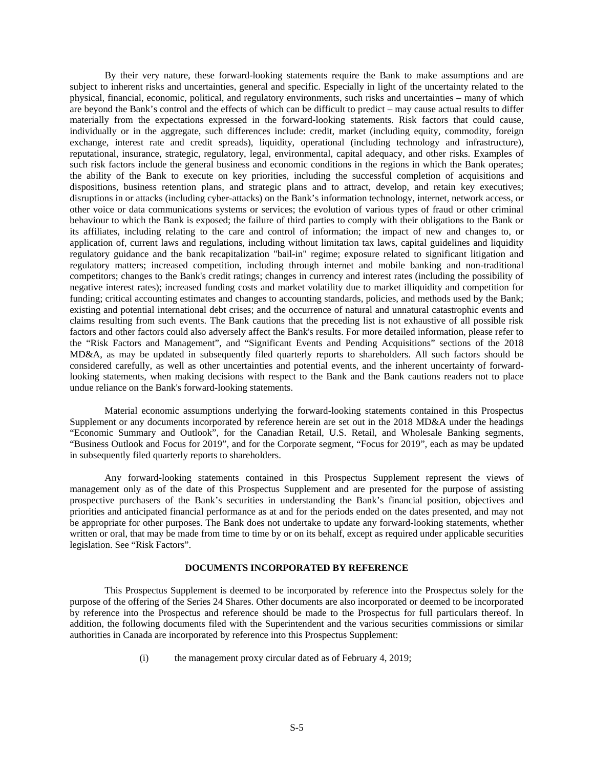By their very nature, these forward-looking statements require the Bank to make assumptions and are subject to inherent risks and uncertainties, general and specific. Especially in light of the uncertainty related to the physical, financial, economic, political, and regulatory environments, such risks and uncertainties – many of which are beyond the Bank's control and the effects of which can be difficult to predict – may cause actual results to differ materially from the expectations expressed in the forward-looking statements. Risk factors that could cause, individually or in the aggregate, such differences include: credit, market (including equity, commodity, foreign exchange, interest rate and credit spreads), liquidity, operational (including technology and infrastructure), reputational, insurance, strategic, regulatory, legal, environmental, capital adequacy, and other risks. Examples of such risk factors include the general business and economic conditions in the regions in which the Bank operates; the ability of the Bank to execute on key priorities, including the successful completion of acquisitions and dispositions, business retention plans, and strategic plans and to attract, develop, and retain key executives; disruptions in or attacks (including cyber-attacks) on the Bank's information technology, internet, network access, or other voice or data communications systems or services; the evolution of various types of fraud or other criminal behaviour to which the Bank is exposed; the failure of third parties to comply with their obligations to the Bank or its affiliates, including relating to the care and control of information; the impact of new and changes to, or application of, current laws and regulations, including without limitation tax laws, capital guidelines and liquidity regulatory guidance and the bank recapitalization "bail-in" regime; exposure related to significant litigation and regulatory matters; increased competition, including through internet and mobile banking and non-traditional competitors; changes to the Bank's credit ratings; changes in currency and interest rates (including the possibility of negative interest rates); increased funding costs and market volatility due to market illiquidity and competition for funding; critical accounting estimates and changes to accounting standards, policies, and methods used by the Bank; existing and potential international debt crises; and the occurrence of natural and unnatural catastrophic events and claims resulting from such events. The Bank cautions that the preceding list is not exhaustive of all possible risk factors and other factors could also adversely affect the Bank's results. For more detailed information, please refer to the "Risk Factors and Management", and "Significant Events and Pending Acquisitions" sections of the 2018 MD&A, as may be updated in subsequently filed quarterly reports to shareholders. All such factors should be considered carefully, as well as other uncertainties and potential events, and the inherent uncertainty of forwardlooking statements, when making decisions with respect to the Bank and the Bank cautions readers not to place undue reliance on the Bank's forward-looking statements.

Material economic assumptions underlying the forward-looking statements contained in this Prospectus Supplement or any documents incorporated by reference herein are set out in the 2018 MD&A under the headings "Economic Summary and Outlook", for the Canadian Retail, U.S. Retail, and Wholesale Banking segments, "Business Outlook and Focus for 2019", and for the Corporate segment, "Focus for 2019", each as may be updated in subsequently filed quarterly reports to shareholders.

Any forward-looking statements contained in this Prospectus Supplement represent the views of management only as of the date of this Prospectus Supplement and are presented for the purpose of assisting prospective purchasers of the Bank's securities in understanding the Bank's financial position, objectives and priorities and anticipated financial performance as at and for the periods ended on the dates presented, and may not be appropriate for other purposes. The Bank does not undertake to update any forward-looking statements, whether written or oral, that may be made from time to time by or on its behalf, except as required under applicable securities legislation. See "Risk Factors".

# **DOCUMENTS INCORPORATED BY REFERENCE**

<span id="page-4-0"></span>This Prospectus Supplement is deemed to be incorporated by reference into the Prospectus solely for the purpose of the offering of the Series 24 Shares. Other documents are also incorporated or deemed to be incorporated by reference into the Prospectus and reference should be made to the Prospectus for full particulars thereof. In addition, the following documents filed with the Superintendent and the various securities commissions or similar authorities in Canada are incorporated by reference into this Prospectus Supplement:

(i) the management proxy circular dated as of February 4, 2019;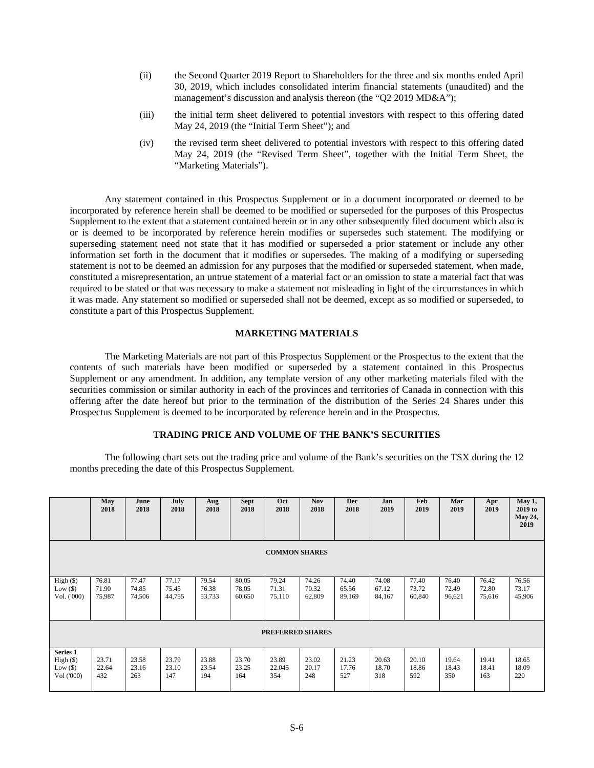- (ii) the Second Quarter 2019 Report to Shareholders for the three and six months ended April 30, 2019, which includes consolidated interim financial statements (unaudited) and the management's discussion and analysis thereon (the "Q2 2019 MD&A");
- (iii) the initial term sheet delivered to potential investors with respect to this offering dated May 24, 2019 (the "Initial Term Sheet"); and
- (iv) the revised term sheet delivered to potential investors with respect to this offering dated May 24, 2019 (the "Revised Term Sheet", together with the Initial Term Sheet, the "Marketing Materials").

Any statement contained in this Prospectus Supplement or in a document incorporated or deemed to be incorporated by reference herein shall be deemed to be modified or superseded for the purposes of this Prospectus Supplement to the extent that a statement contained herein or in any other subsequently filed document which also is or is deemed to be incorporated by reference herein modifies or supersedes such statement. The modifying or superseding statement need not state that it has modified or superseded a prior statement or include any other information set forth in the document that it modifies or supersedes. The making of a modifying or superseding statement is not to be deemed an admission for any purposes that the modified or superseded statement, when made, constituted a misrepresentation, an untrue statement of a material fact or an omission to state a material fact that was required to be stated or that was necessary to make a statement not misleading in light of the circumstances in which it was made. Any statement so modified or superseded shall not be deemed, except as so modified or superseded, to constitute a part of this Prospectus Supplement.

# **MARKETING MATERIALS**

<span id="page-5-0"></span>The Marketing Materials are not part of this Prospectus Supplement or the Prospectus to the extent that the contents of such materials have been modified or superseded by a statement contained in this Prospectus Supplement or any amendment. In addition, any template version of any other marketing materials filed with the securities commission or similar authority in each of the provinces and territories of Canada in connection with this offering after the date hereof but prior to the termination of the distribution of the Series 24 Shares under this Prospectus Supplement is deemed to be incorporated by reference herein and in the Prospectus.

# **TRADING PRICE AND VOLUME OF THE BANK'S SECURITIES**

<span id="page-5-1"></span>The following chart sets out the trading price and volume of the Bank's securities on the TSX during the 12 months preceding the date of this Prospectus Supplement.

|                                                   | May<br>2018              | June<br>2018             | July<br>2018             | Aug<br>2018              | <b>Sept</b><br>2018      | Oct<br>2018              | <b>Nov</b><br>2018       | <b>Dec</b><br>2018       | Jan<br>2019              | Feb<br>2019              | Mar<br>2019              | Apr<br>2019              | May 1,<br>2019 to<br>May 24,<br>2019 |
|---------------------------------------------------|--------------------------|--------------------------|--------------------------|--------------------------|--------------------------|--------------------------|--------------------------|--------------------------|--------------------------|--------------------------|--------------------------|--------------------------|--------------------------------------|
| <b>COMMON SHARES</b>                              |                          |                          |                          |                          |                          |                          |                          |                          |                          |                          |                          |                          |                                      |
| High (\$)<br>Low $(\$)$<br>Vol. ('000)            | 76.81<br>71.90<br>75,987 | 77.47<br>74.85<br>74,506 | 77.17<br>75.45<br>44,755 | 79.54<br>76.38<br>53,733 | 80.05<br>78.05<br>60,650 | 79.24<br>71.31<br>75,110 | 74.26<br>70.32<br>62,809 | 74.40<br>65.56<br>89,169 | 74.08<br>67.12<br>84,167 | 77.40<br>73.72<br>60,840 | 76.40<br>72.49<br>96,621 | 76.42<br>72.80<br>75,616 | 76.56<br>73.17<br>45,906             |
| <b>PREFERRED SHARES</b>                           |                          |                          |                          |                          |                          |                          |                          |                          |                          |                          |                          |                          |                                      |
| Series 1<br>High (\$)<br>Low $(\$)$<br>Vol ('000) | 23.71<br>22.64<br>432    | 23.58<br>23.16<br>263    | 23.79<br>23.10<br>147    | 23.88<br>23.54<br>194    | 23.70<br>23.25<br>164    | 23.89<br>22.045<br>354   | 23.02<br>20.17<br>248    | 21.23<br>17.76<br>527    | 20.63<br>18.70<br>318    | 20.10<br>18.86<br>592    | 19.64<br>18.43<br>350    | 19.41<br>18.41<br>163    | 18.65<br>18.09<br>220                |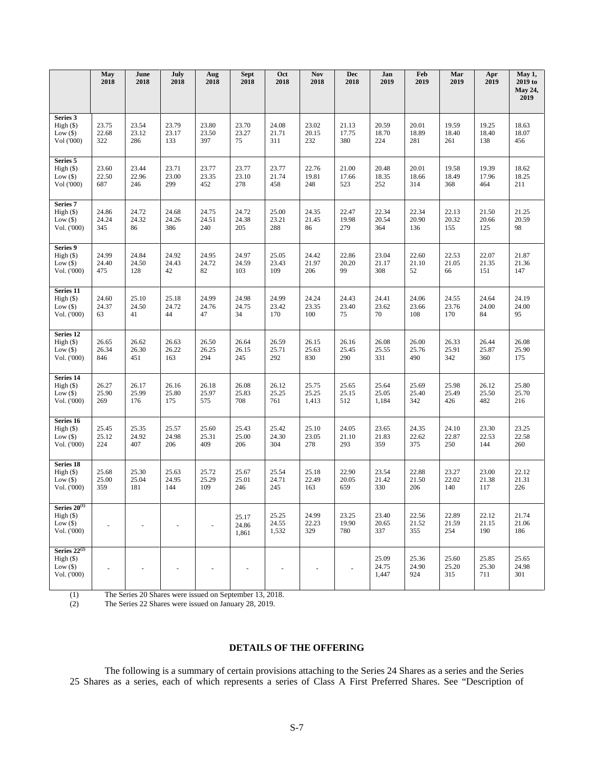|                                                             | <b>May</b><br>2018    | June<br>2018          | July<br>2018          | Aug<br>2018           | <b>Sept</b><br>2018     | Oct<br>2018             | Nov<br>2018             | <b>Dec</b><br>2018    | Jan<br>2019             | Feb<br>2019           | Mar<br>2019           | Apr<br>2019           | May 1,<br>2019 to<br>May 24, |
|-------------------------------------------------------------|-----------------------|-----------------------|-----------------------|-----------------------|-------------------------|-------------------------|-------------------------|-----------------------|-------------------------|-----------------------|-----------------------|-----------------------|------------------------------|
|                                                             |                       |                       |                       |                       |                         |                         |                         |                       |                         |                       |                       |                       | 2019                         |
| Series 3<br>High (\$)<br>Low $(\$)$<br>Vol ('000)           | 23.75<br>22.68<br>322 | 23.54<br>23.12<br>286 | 23.79<br>23.17<br>133 | 23.80<br>23.50<br>397 | 23.70<br>23.27<br>75    | 24.08<br>21.71<br>311   | 23.02<br>20.15<br>232   | 21.13<br>17.75<br>380 | 20.59<br>18.70<br>224   | 20.01<br>18.89<br>281 | 19.59<br>18.40<br>261 | 19.25<br>18.40<br>138 | 18.63<br>18.07<br>456        |
| Series 5<br>High (\$)<br>Low $(\$)$<br>Vol ('000)           | 23.60<br>22.50<br>687 | 23.44<br>22.96<br>246 | 23.71<br>23.00<br>299 | 23.77<br>23.35<br>452 | 23.77<br>23.10<br>278   | 23.77<br>21.74<br>458   | 22.76<br>19.81<br>248   | 21.00<br>17.66<br>523 | 20.48<br>18.35<br>252   | 20.01<br>18.66<br>314 | 19.58<br>18.49<br>368 | 19.39<br>17.96<br>464 | 18.62<br>18.25<br>211        |
| <b>Series 7</b><br>High (\$)<br>Low $(\$)$<br>Vol. ('000)   | 24.86<br>24.24<br>345 | 24.72<br>24.32<br>86  | 24.68<br>24.26<br>386 | 24.75<br>24.51<br>240 | 24.72<br>24.38<br>205   | 25.00<br>23.21<br>288   | 24.35<br>21.45<br>86    | 22.47<br>19.98<br>279 | 22.34<br>20.54<br>364   | 22.34<br>20.90<br>136 | 22.13<br>20.32<br>155 | 21.50<br>20.66<br>125 | 21.25<br>20.59<br>98         |
| Series 9<br>High (\$)<br>Low $(\$)$<br>Vol. ('000)          | 24.99<br>24.40<br>475 | 24.84<br>24.50<br>128 | 24.92<br>24.43<br>42  | 24.95<br>24.72<br>82  | 24.97<br>24.59<br>103   | 25.05<br>23.43<br>109   | 24.42<br>21.97<br>206   | 22.86<br>20.20<br>99  | 23.04<br>21.17<br>308   | 22.60<br>21.10<br>52  | 22.53<br>21.05<br>66  | 22.07<br>21.35<br>151 | 21.87<br>21.36<br>147        |
| Series 11<br>High (\$)<br>Low $(\$)$<br>Vol. ('000)         | 24.60<br>24.37<br>63  | 25.10<br>24.50<br>41  | 25.18<br>24.72<br>44  | 24.99<br>24.76<br>47  | 24.98<br>24.75<br>34    | 24.99<br>23.42<br>170   | 24.24<br>23.35<br>100   | 24.43<br>23.40<br>75  | 24.41<br>23.62<br>70    | 24.06<br>23.66<br>108 | 24.55<br>23.76<br>170 | 24.64<br>24.00<br>84  | 24.19<br>24.00<br>95         |
| Series 12<br>High (\$)<br>Low $(\$)$<br>Vol. ('000)         | 26.65<br>26.34<br>846 | 26.62<br>26.30<br>451 | 26.63<br>26.22<br>163 | 26.50<br>26.25<br>294 | 26.64<br>26.15<br>245   | 26.59<br>25.71<br>292   | 26.15<br>25.63<br>830   | 26.16<br>25.45<br>290 | 26.08<br>25.55<br>331   | 26.00<br>25.76<br>490 | 26.33<br>25.91<br>342 | 26.44<br>25.87<br>360 | 26.08<br>25.90<br>175        |
| Series 14<br>High (\$)<br>Low $(\$)$<br>Vol. ('000)         | 26.27<br>25.90<br>269 | 26.17<br>25.99<br>176 | 26.16<br>25.80<br>175 | 26.18<br>25.97<br>575 | 26.08<br>25.83<br>708   | 26.12<br>25.25<br>761   | 25.75<br>25.25<br>1,413 | 25.65<br>25.15<br>512 | 25.64<br>25.05<br>1,184 | 25.69<br>25.40<br>342 | 25.98<br>25.49<br>426 | 26.12<br>25.50<br>482 | 25.80<br>25.70<br>216        |
| Series 16<br>High (\$)<br>Low $(\$)$<br>Vol. ('000)         | 25.45<br>25.12<br>224 | 25.35<br>24.92<br>407 | 25.57<br>24.98<br>206 | 25.60<br>25.31<br>409 | 25.43<br>25.00<br>206   | 25.42<br>24.30<br>304   | 25.10<br>23.05<br>278   | 24.05<br>21.10<br>293 | 23.65<br>21.83<br>359   | 24.35<br>22.62<br>375 | 24.10<br>22.87<br>250 | 23.30<br>22.53<br>144 | 23.25<br>22.58<br>260        |
| Series 18<br>High (\$)<br>Low $(\$)$<br>Vol. ('000)         | 25.68<br>25.00<br>359 | 25.30<br>25.04<br>181 | 25.63<br>24.95<br>144 | 25.72<br>25.29<br>109 | 25.67<br>25.01<br>246   | 25.54<br>24.71<br>245   | 25.18<br>22.49<br>163   | 22.90<br>20.05<br>659 | 23.54<br>21.42<br>330   | 22.88<br>21.50<br>206 | 23.27<br>22.02<br>140 | 23.00<br>21.38<br>117 | 22.12<br>21.31<br>226        |
| Series $20^{(1)}$<br>High (\$)<br>Low $(\$)$<br>Vol. ('000) |                       |                       |                       |                       | 25.17<br>24.86<br>1,861 | 25.25<br>24.55<br>1,532 | 24.99<br>22.23<br>329   | 23.25<br>19.90<br>780 | 23.40<br>20.65<br>337   | 22.56<br>21.52<br>355 | 22.89<br>21.59<br>254 | 22.12<br>21.15<br>190 | 21.74<br>21.06<br>186        |
| Series $22^{(2)}$<br>High()<br>Low $(\$)$<br>Vol. ('000)    |                       |                       |                       |                       |                         |                         |                         |                       | 25.09<br>24.75<br>1,447 | 25.36<br>24.90<br>924 | 25.60<br>25.20<br>315 | 25.85<br>25.30<br>711 | 25.65<br>24.98<br>301        |

(1) The Series 20 Shares were issued on September 13, 2018. (2) The Series 22 Shares were issued on January 28, 2019.

# **DETAILS OF THE OFFERING**

<span id="page-6-0"></span>The following is a summary of certain provisions attaching to the Series 24 Shares as a series and the Series 25 Shares as a series, each of which represents a series of Class A First Preferred Shares. See "Description of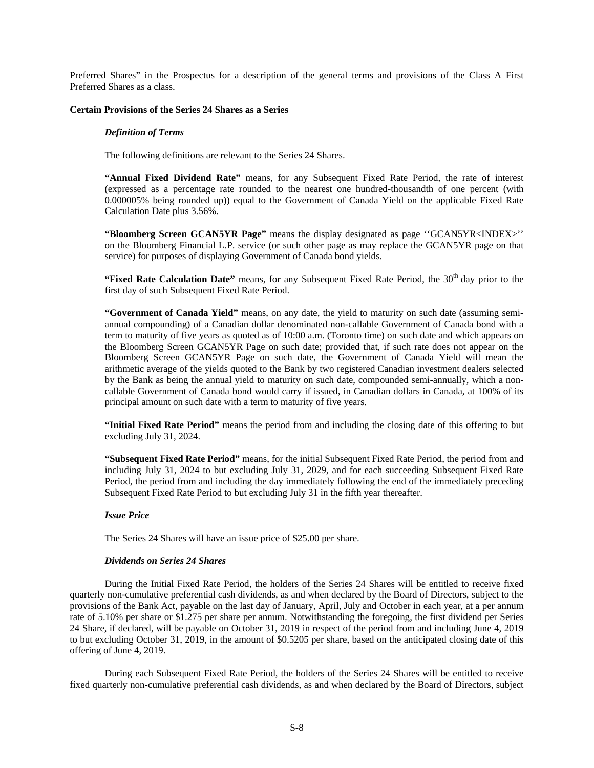Preferred Shares" in the Prospectus for a description of the general terms and provisions of the Class A First Preferred Shares as a class.

# **Certain Provisions of the Series 24 Shares as a Series**

# *Definition of Terms*

The following definitions are relevant to the Series 24 Shares.

**"Annual Fixed Dividend Rate"** means, for any Subsequent Fixed Rate Period, the rate of interest (expressed as a percentage rate rounded to the nearest one hundred-thousandth of one percent (with 0.000005% being rounded up)) equal to the Government of Canada Yield on the applicable Fixed Rate Calculation Date plus 3.56%.

**"Bloomberg Screen GCAN5YR Page"** means the display designated as page ''GCAN5YR<INDEX>'' on the Bloomberg Financial L.P. service (or such other page as may replace the GCAN5YR page on that service) for purposes of displaying Government of Canada bond yields.

"Fixed Rate Calculation Date" means, for any Subsequent Fixed Rate Period, the 30<sup>th</sup> day prior to the first day of such Subsequent Fixed Rate Period.

**"Government of Canada Yield"** means, on any date, the yield to maturity on such date (assuming semiannual compounding) of a Canadian dollar denominated non-callable Government of Canada bond with a term to maturity of five years as quoted as of 10:00 a.m. (Toronto time) on such date and which appears on the Bloomberg Screen GCAN5YR Page on such date; provided that, if such rate does not appear on the Bloomberg Screen GCAN5YR Page on such date, the Government of Canada Yield will mean the arithmetic average of the yields quoted to the Bank by two registered Canadian investment dealers selected by the Bank as being the annual yield to maturity on such date, compounded semi-annually, which a noncallable Government of Canada bond would carry if issued, in Canadian dollars in Canada, at 100% of its principal amount on such date with a term to maturity of five years.

**"Initial Fixed Rate Period"** means the period from and including the closing date of this offering to but excluding July 31, 2024.

**"Subsequent Fixed Rate Period"** means, for the initial Subsequent Fixed Rate Period, the period from and including July 31, 2024 to but excluding July 31, 2029, and for each succeeding Subsequent Fixed Rate Period, the period from and including the day immediately following the end of the immediately preceding Subsequent Fixed Rate Period to but excluding July 31 in the fifth year thereafter.

## *Issue Price*

The Series 24 Shares will have an issue price of \$25.00 per share.

# *Dividends on Series 24 Shares*

During the Initial Fixed Rate Period, the holders of the Series 24 Shares will be entitled to receive fixed quarterly non-cumulative preferential cash dividends, as and when declared by the Board of Directors, subject to the provisions of the Bank Act, payable on the last day of January, April, July and October in each year, at a per annum rate of 5.10% per share or \$1.275 per share per annum. Notwithstanding the foregoing, the first dividend per Series 24 Share, if declared, will be payable on October 31, 2019 in respect of the period from and including June 4, 2019 to but excluding October 31, 2019, in the amount of \$0.5205 per share, based on the anticipated closing date of this offering of June 4, 2019.

During each Subsequent Fixed Rate Period, the holders of the Series 24 Shares will be entitled to receive fixed quarterly non-cumulative preferential cash dividends, as and when declared by the Board of Directors, subject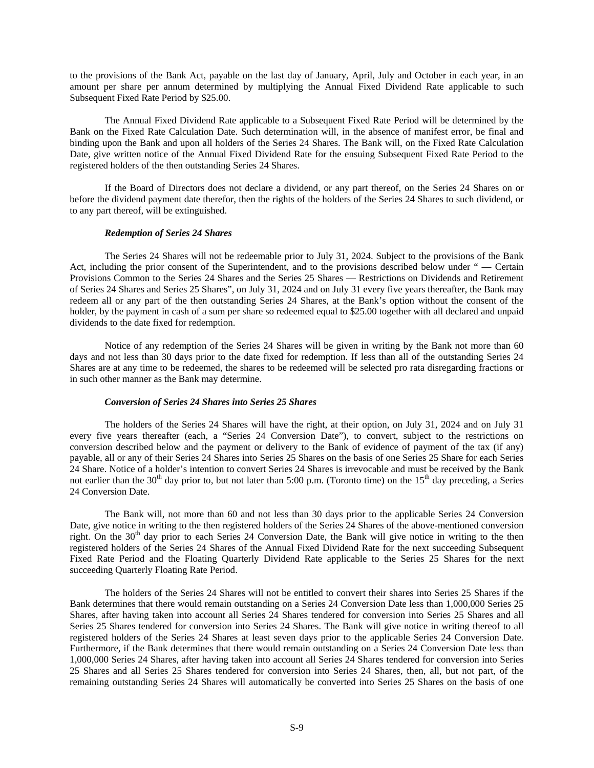to the provisions of the Bank Act, payable on the last day of January, April, July and October in each year, in an amount per share per annum determined by multiplying the Annual Fixed Dividend Rate applicable to such Subsequent Fixed Rate Period by \$25.00.

The Annual Fixed Dividend Rate applicable to a Subsequent Fixed Rate Period will be determined by the Bank on the Fixed Rate Calculation Date. Such determination will, in the absence of manifest error, be final and binding upon the Bank and upon all holders of the Series 24 Shares. The Bank will, on the Fixed Rate Calculation Date, give written notice of the Annual Fixed Dividend Rate for the ensuing Subsequent Fixed Rate Period to the registered holders of the then outstanding Series 24 Shares.

If the Board of Directors does not declare a dividend, or any part thereof, on the Series 24 Shares on or before the dividend payment date therefor, then the rights of the holders of the Series 24 Shares to such dividend, or to any part thereof, will be extinguished.

## *Redemption of Series 24 Shares*

The Series 24 Shares will not be redeemable prior to July 31, 2024. Subject to the provisions of the Bank Act, including the prior consent of the Superintendent, and to the provisions described below under " — Certain Provisions Common to the Series 24 Shares and the Series 25 Shares — Restrictions on Dividends and Retirement of Series 24 Shares and Series 25 Shares", on July 31, 2024 and on July 31 every five years thereafter, the Bank may redeem all or any part of the then outstanding Series 24 Shares, at the Bank's option without the consent of the holder, by the payment in cash of a sum per share so redeemed equal to \$25.00 together with all declared and unpaid dividends to the date fixed for redemption.

Notice of any redemption of the Series 24 Shares will be given in writing by the Bank not more than 60 days and not less than 30 days prior to the date fixed for redemption. If less than all of the outstanding Series 24 Shares are at any time to be redeemed, the shares to be redeemed will be selected pro rata disregarding fractions or in such other manner as the Bank may determine.

## *Conversion of Series 24 Shares into Series 25 Shares*

The holders of the Series 24 Shares will have the right, at their option, on July 31, 2024 and on July 31 every five years thereafter (each, a "Series 24 Conversion Date"), to convert, subject to the restrictions on conversion described below and the payment or delivery to the Bank of evidence of payment of the tax (if any) payable, all or any of their Series 24 Shares into Series 25 Shares on the basis of one Series 25 Share for each Series 24 Share. Notice of a holder's intention to convert Series 24 Shares is irrevocable and must be received by the Bank not earlier than the  $30<sup>th</sup>$  day prior to, but not later than 5:00 p.m. (Toronto time) on the  $15<sup>th</sup>$  day preceding, a Series 24 Conversion Date.

The Bank will, not more than 60 and not less than 30 days prior to the applicable Series 24 Conversion Date, give notice in writing to the then registered holders of the Series 24 Shares of the above-mentioned conversion right. On the 30<sup>th</sup> day prior to each Series 24 Conversion Date, the Bank will give notice in writing to the then registered holders of the Series 24 Shares of the Annual Fixed Dividend Rate for the next succeeding Subsequent Fixed Rate Period and the Floating Quarterly Dividend Rate applicable to the Series 25 Shares for the next succeeding Quarterly Floating Rate Period.

The holders of the Series 24 Shares will not be entitled to convert their shares into Series 25 Shares if the Bank determines that there would remain outstanding on a Series 24 Conversion Date less than 1,000,000 Series 25 Shares, after having taken into account all Series 24 Shares tendered for conversion into Series 25 Shares and all Series 25 Shares tendered for conversion into Series 24 Shares. The Bank will give notice in writing thereof to all registered holders of the Series 24 Shares at least seven days prior to the applicable Series 24 Conversion Date. Furthermore, if the Bank determines that there would remain outstanding on a Series 24 Conversion Date less than 1,000,000 Series 24 Shares, after having taken into account all Series 24 Shares tendered for conversion into Series 25 Shares and all Series 25 Shares tendered for conversion into Series 24 Shares, then, all, but not part, of the remaining outstanding Series 24 Shares will automatically be converted into Series 25 Shares on the basis of one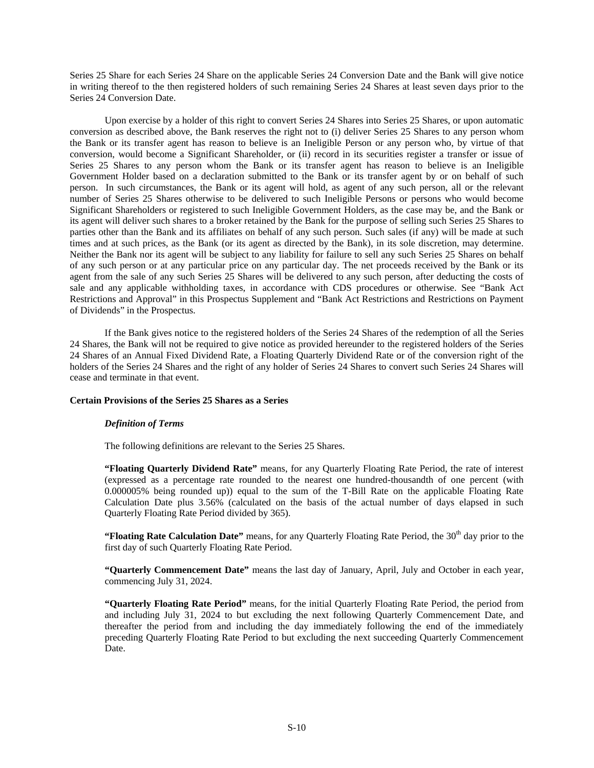Series 25 Share for each Series 24 Share on the applicable Series 24 Conversion Date and the Bank will give notice in writing thereof to the then registered holders of such remaining Series 24 Shares at least seven days prior to the Series 24 Conversion Date.

Upon exercise by a holder of this right to convert Series 24 Shares into Series 25 Shares, or upon automatic conversion as described above, the Bank reserves the right not to (i) deliver Series 25 Shares to any person whom the Bank or its transfer agent has reason to believe is an Ineligible Person or any person who, by virtue of that conversion, would become a Significant Shareholder, or (ii) record in its securities register a transfer or issue of Series 25 Shares to any person whom the Bank or its transfer agent has reason to believe is an Ineligible Government Holder based on a declaration submitted to the Bank or its transfer agent by or on behalf of such person. In such circumstances, the Bank or its agent will hold, as agent of any such person, all or the relevant number of Series 25 Shares otherwise to be delivered to such Ineligible Persons or persons who would become Significant Shareholders or registered to such Ineligible Government Holders, as the case may be, and the Bank or its agent will deliver such shares to a broker retained by the Bank for the purpose of selling such Series 25 Shares to parties other than the Bank and its affiliates on behalf of any such person. Such sales (if any) will be made at such times and at such prices, as the Bank (or its agent as directed by the Bank), in its sole discretion, may determine. Neither the Bank nor its agent will be subject to any liability for failure to sell any such Series 25 Shares on behalf of any such person or at any particular price on any particular day. The net proceeds received by the Bank or its agent from the sale of any such Series 25 Shares will be delivered to any such person, after deducting the costs of sale and any applicable withholding taxes, in accordance with CDS procedures or otherwise. See "Bank Act Restrictions and Approval" in this Prospectus Supplement and "Bank Act Restrictions and Restrictions on Payment of Dividends" in the Prospectus.

If the Bank gives notice to the registered holders of the Series 24 Shares of the redemption of all the Series 24 Shares, the Bank will not be required to give notice as provided hereunder to the registered holders of the Series 24 Shares of an Annual Fixed Dividend Rate, a Floating Quarterly Dividend Rate or of the conversion right of the holders of the Series 24 Shares and the right of any holder of Series 24 Shares to convert such Series 24 Shares will cease and terminate in that event.

# **Certain Provisions of the Series 25 Shares as a Series**

## *Definition of Terms*

The following definitions are relevant to the Series 25 Shares.

**"Floating Quarterly Dividend Rate"** means, for any Quarterly Floating Rate Period, the rate of interest (expressed as a percentage rate rounded to the nearest one hundred-thousandth of one percent (with 0.000005% being rounded up)) equal to the sum of the T-Bill Rate on the applicable Floating Rate Calculation Date plus 3.56% (calculated on the basis of the actual number of days elapsed in such Quarterly Floating Rate Period divided by 365).

"Floating Rate Calculation Date" means, for any Quarterly Floating Rate Period, the 30<sup>th</sup> day prior to the first day of such Quarterly Floating Rate Period.

**"Quarterly Commencement Date"** means the last day of January, April, July and October in each year, commencing July 31, 2024.

**"Quarterly Floating Rate Period"** means, for the initial Quarterly Floating Rate Period, the period from and including July 31, 2024 to but excluding the next following Quarterly Commencement Date, and thereafter the period from and including the day immediately following the end of the immediately preceding Quarterly Floating Rate Period to but excluding the next succeeding Quarterly Commencement Date.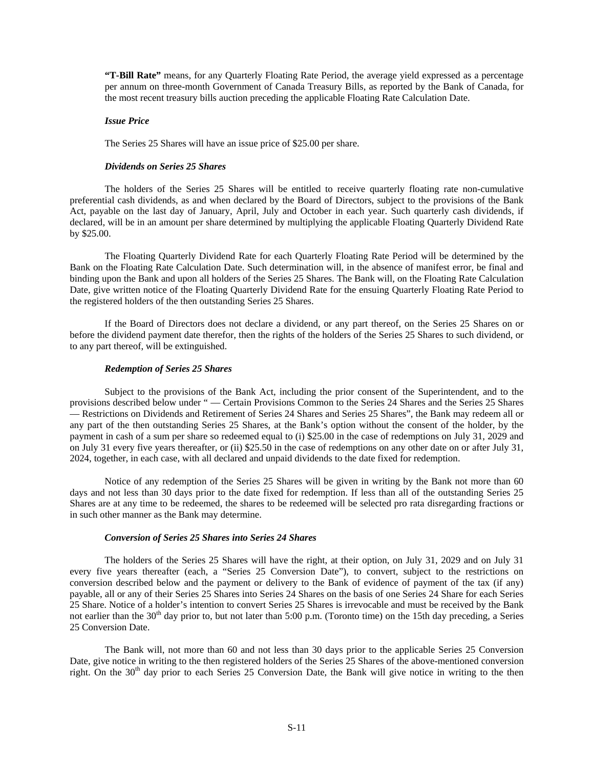**"T-Bill Rate"** means, for any Quarterly Floating Rate Period, the average yield expressed as a percentage per annum on three-month Government of Canada Treasury Bills, as reported by the Bank of Canada, for the most recent treasury bills auction preceding the applicable Floating Rate Calculation Date.

#### *Issue Price*

The Series 25 Shares will have an issue price of \$25.00 per share.

#### *Dividends on Series 25 Shares*

The holders of the Series 25 Shares will be entitled to receive quarterly floating rate non-cumulative preferential cash dividends, as and when declared by the Board of Directors, subject to the provisions of the Bank Act, payable on the last day of January, April, July and October in each year. Such quarterly cash dividends, if declared, will be in an amount per share determined by multiplying the applicable Floating Quarterly Dividend Rate by \$25.00.

The Floating Quarterly Dividend Rate for each Quarterly Floating Rate Period will be determined by the Bank on the Floating Rate Calculation Date. Such determination will, in the absence of manifest error, be final and binding upon the Bank and upon all holders of the Series 25 Shares. The Bank will, on the Floating Rate Calculation Date, give written notice of the Floating Quarterly Dividend Rate for the ensuing Quarterly Floating Rate Period to the registered holders of the then outstanding Series 25 Shares.

If the Board of Directors does not declare a dividend, or any part thereof, on the Series 25 Shares on or before the dividend payment date therefor, then the rights of the holders of the Series 25 Shares to such dividend, or to any part thereof, will be extinguished.

## *Redemption of Series 25 Shares*

Subject to the provisions of the Bank Act, including the prior consent of the Superintendent, and to the provisions described below under " — Certain Provisions Common to the Series 24 Shares and the Series 25 Shares — Restrictions on Dividends and Retirement of Series 24 Shares and Series 25 Shares", the Bank may redeem all or any part of the then outstanding Series 25 Shares, at the Bank's option without the consent of the holder, by the payment in cash of a sum per share so redeemed equal to (i) \$25.00 in the case of redemptions on July 31, 2029 and on July 31 every five years thereafter, or (ii) \$25.50 in the case of redemptions on any other date on or after July 31, 2024, together, in each case, with all declared and unpaid dividends to the date fixed for redemption.

Notice of any redemption of the Series 25 Shares will be given in writing by the Bank not more than 60 days and not less than 30 days prior to the date fixed for redemption. If less than all of the outstanding Series 25 Shares are at any time to be redeemed, the shares to be redeemed will be selected pro rata disregarding fractions or in such other manner as the Bank may determine.

# *Conversion of Series 25 Shares into Series 24 Shares*

The holders of the Series 25 Shares will have the right, at their option, on July 31, 2029 and on July 31 every five years thereafter (each, a "Series 25 Conversion Date"), to convert, subject to the restrictions on conversion described below and the payment or delivery to the Bank of evidence of payment of the tax (if any) payable, all or any of their Series 25 Shares into Series 24 Shares on the basis of one Series 24 Share for each Series 25 Share. Notice of a holder's intention to convert Series 25 Shares is irrevocable and must be received by the Bank not earlier than the  $30<sup>th</sup>$  day prior to, but not later than 5:00 p.m. (Toronto time) on the 15th day preceding, a Series 25 Conversion Date.

The Bank will, not more than 60 and not less than 30 days prior to the applicable Series 25 Conversion Date, give notice in writing to the then registered holders of the Series 25 Shares of the above-mentioned conversion right. On the 30<sup>th</sup> day prior to each Series 25 Conversion Date, the Bank will give notice in writing to the then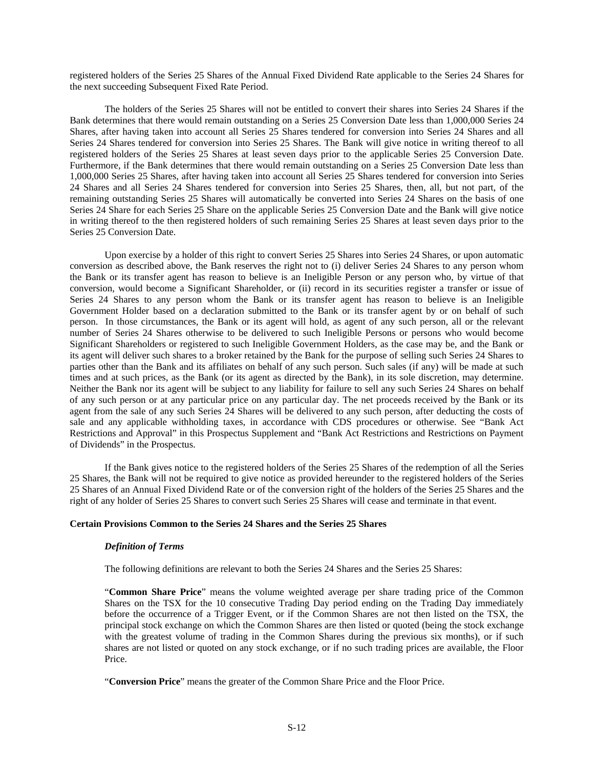registered holders of the Series 25 Shares of the Annual Fixed Dividend Rate applicable to the Series 24 Shares for the next succeeding Subsequent Fixed Rate Period.

The holders of the Series 25 Shares will not be entitled to convert their shares into Series 24 Shares if the Bank determines that there would remain outstanding on a Series 25 Conversion Date less than 1,000,000 Series 24 Shares, after having taken into account all Series 25 Shares tendered for conversion into Series 24 Shares and all Series 24 Shares tendered for conversion into Series 25 Shares. The Bank will give notice in writing thereof to all registered holders of the Series 25 Shares at least seven days prior to the applicable Series 25 Conversion Date. Furthermore, if the Bank determines that there would remain outstanding on a Series 25 Conversion Date less than 1,000,000 Series 25 Shares, after having taken into account all Series 25 Shares tendered for conversion into Series 24 Shares and all Series 24 Shares tendered for conversion into Series 25 Shares, then, all, but not part, of the remaining outstanding Series 25 Shares will automatically be converted into Series 24 Shares on the basis of one Series 24 Share for each Series 25 Share on the applicable Series 25 Conversion Date and the Bank will give notice in writing thereof to the then registered holders of such remaining Series 25 Shares at least seven days prior to the Series 25 Conversion Date.

Upon exercise by a holder of this right to convert Series 25 Shares into Series 24 Shares, or upon automatic conversion as described above, the Bank reserves the right not to (i) deliver Series 24 Shares to any person whom the Bank or its transfer agent has reason to believe is an Ineligible Person or any person who, by virtue of that conversion, would become a Significant Shareholder, or (ii) record in its securities register a transfer or issue of Series 24 Shares to any person whom the Bank or its transfer agent has reason to believe is an Ineligible Government Holder based on a declaration submitted to the Bank or its transfer agent by or on behalf of such person. In those circumstances, the Bank or its agent will hold, as agent of any such person, all or the relevant number of Series 24 Shares otherwise to be delivered to such Ineligible Persons or persons who would become Significant Shareholders or registered to such Ineligible Government Holders, as the case may be, and the Bank or its agent will deliver such shares to a broker retained by the Bank for the purpose of selling such Series 24 Shares to parties other than the Bank and its affiliates on behalf of any such person. Such sales (if any) will be made at such times and at such prices, as the Bank (or its agent as directed by the Bank), in its sole discretion, may determine. Neither the Bank nor its agent will be subject to any liability for failure to sell any such Series 24 Shares on behalf of any such person or at any particular price on any particular day. The net proceeds received by the Bank or its agent from the sale of any such Series 24 Shares will be delivered to any such person, after deducting the costs of sale and any applicable withholding taxes, in accordance with CDS procedures or otherwise. See "Bank Act Restrictions and Approval" in this Prospectus Supplement and "Bank Act Restrictions and Restrictions on Payment of Dividends" in the Prospectus.

If the Bank gives notice to the registered holders of the Series 25 Shares of the redemption of all the Series 25 Shares, the Bank will not be required to give notice as provided hereunder to the registered holders of the Series 25 Shares of an Annual Fixed Dividend Rate or of the conversion right of the holders of the Series 25 Shares and the right of any holder of Series 25 Shares to convert such Series 25 Shares will cease and terminate in that event.

# **Certain Provisions Common to the Series 24 Shares and the Series 25 Shares**

## *Definition of Terms*

The following definitions are relevant to both the Series 24 Shares and the Series 25 Shares:

"**Common Share Price**" means the volume weighted average per share trading price of the Common Shares on the TSX for the 10 consecutive Trading Day period ending on the Trading Day immediately before the occurrence of a Trigger Event, or if the Common Shares are not then listed on the TSX, the principal stock exchange on which the Common Shares are then listed or quoted (being the stock exchange with the greatest volume of trading in the Common Shares during the previous six months), or if such shares are not listed or quoted on any stock exchange, or if no such trading prices are available, the Floor Price.

"**Conversion Price**" means the greater of the Common Share Price and the Floor Price.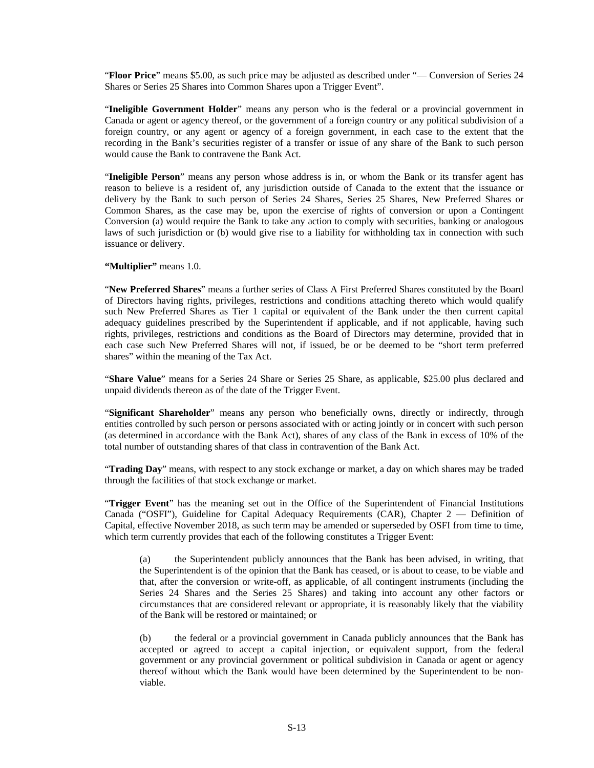"**Floor Price**" means \$5.00, as such price may be adjusted as described under "— Conversion of Series 24 Shares or Series 25 Shares into Common Shares upon a Trigger Event".

"**Ineligible Government Holder**" means any person who is the federal or a provincial government in Canada or agent or agency thereof, or the government of a foreign country or any political subdivision of a foreign country, or any agent or agency of a foreign government, in each case to the extent that the recording in the Bank's securities register of a transfer or issue of any share of the Bank to such person would cause the Bank to contravene the Bank Act.

"**Ineligible Person**" means any person whose address is in, or whom the Bank or its transfer agent has reason to believe is a resident of, any jurisdiction outside of Canada to the extent that the issuance or delivery by the Bank to such person of Series 24 Shares, Series 25 Shares, New Preferred Shares or Common Shares, as the case may be, upon the exercise of rights of conversion or upon a Contingent Conversion (a) would require the Bank to take any action to comply with securities, banking or analogous laws of such jurisdiction or (b) would give rise to a liability for withholding tax in connection with such issuance or delivery.

**"Multiplier"** means 1.0.

"**New Preferred Shares**" means a further series of Class A First Preferred Shares constituted by the Board of Directors having rights, privileges, restrictions and conditions attaching thereto which would qualify such New Preferred Shares as Tier 1 capital or equivalent of the Bank under the then current capital adequacy guidelines prescribed by the Superintendent if applicable, and if not applicable, having such rights, privileges, restrictions and conditions as the Board of Directors may determine, provided that in each case such New Preferred Shares will not, if issued, be or be deemed to be "short term preferred shares" within the meaning of the Tax Act.

"**Share Value**" means for a Series 24 Share or Series 25 Share, as applicable, \$25.00 plus declared and unpaid dividends thereon as of the date of the Trigger Event.

"**Significant Shareholder**" means any person who beneficially owns, directly or indirectly, through entities controlled by such person or persons associated with or acting jointly or in concert with such person (as determined in accordance with the Bank Act), shares of any class of the Bank in excess of 10% of the total number of outstanding shares of that class in contravention of the Bank Act.

"**Trading Day**" means, with respect to any stock exchange or market, a day on which shares may be traded through the facilities of that stock exchange or market.

"**Trigger Event**" has the meaning set out in the Office of the Superintendent of Financial Institutions Canada ("OSFI"), Guideline for Capital Adequacy Requirements (CAR), Chapter 2 — Definition of Capital, effective November 2018, as such term may be amended or superseded by OSFI from time to time, which term currently provides that each of the following constitutes a Trigger Event:

(a) the Superintendent publicly announces that the Bank has been advised, in writing, that the Superintendent is of the opinion that the Bank has ceased, or is about to cease, to be viable and that, after the conversion or write-off, as applicable, of all contingent instruments (including the Series 24 Shares and the Series 25 Shares) and taking into account any other factors or circumstances that are considered relevant or appropriate, it is reasonably likely that the viability of the Bank will be restored or maintained; or

(b) the federal or a provincial government in Canada publicly announces that the Bank has accepted or agreed to accept a capital injection, or equivalent support, from the federal government or any provincial government or political subdivision in Canada or agent or agency thereof without which the Bank would have been determined by the Superintendent to be nonviable.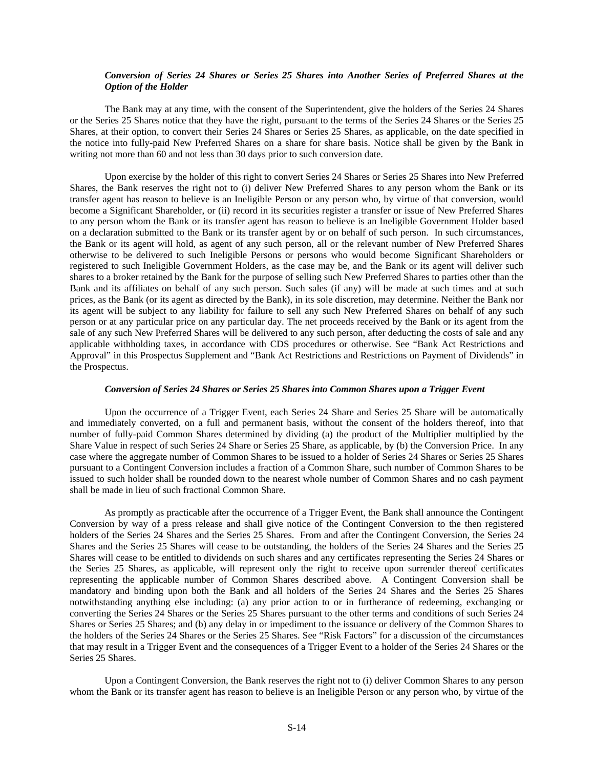# *Conversion of Series 24 Shares or Series 25 Shares into Another Series of Preferred Shares at the Option of the Holder*

The Bank may at any time, with the consent of the Superintendent, give the holders of the Series 24 Shares or the Series 25 Shares notice that they have the right, pursuant to the terms of the Series 24 Shares or the Series 25 Shares, at their option, to convert their Series 24 Shares or Series 25 Shares, as applicable, on the date specified in the notice into fully-paid New Preferred Shares on a share for share basis. Notice shall be given by the Bank in writing not more than 60 and not less than 30 days prior to such conversion date.

Upon exercise by the holder of this right to convert Series 24 Shares or Series 25 Shares into New Preferred Shares, the Bank reserves the right not to (i) deliver New Preferred Shares to any person whom the Bank or its transfer agent has reason to believe is an Ineligible Person or any person who, by virtue of that conversion, would become a Significant Shareholder, or (ii) record in its securities register a transfer or issue of New Preferred Shares to any person whom the Bank or its transfer agent has reason to believe is an Ineligible Government Holder based on a declaration submitted to the Bank or its transfer agent by or on behalf of such person. In such circumstances, the Bank or its agent will hold, as agent of any such person, all or the relevant number of New Preferred Shares otherwise to be delivered to such Ineligible Persons or persons who would become Significant Shareholders or registered to such Ineligible Government Holders, as the case may be, and the Bank or its agent will deliver such shares to a broker retained by the Bank for the purpose of selling such New Preferred Shares to parties other than the Bank and its affiliates on behalf of any such person. Such sales (if any) will be made at such times and at such prices, as the Bank (or its agent as directed by the Bank), in its sole discretion, may determine. Neither the Bank nor its agent will be subject to any liability for failure to sell any such New Preferred Shares on behalf of any such person or at any particular price on any particular day. The net proceeds received by the Bank or its agent from the sale of any such New Preferred Shares will be delivered to any such person, after deducting the costs of sale and any applicable withholding taxes, in accordance with CDS procedures or otherwise. See "Bank Act Restrictions and Approval" in this Prospectus Supplement and "Bank Act Restrictions and Restrictions on Payment of Dividends" in the Prospectus.

## *Conversion of Series 24 Shares or Series 25 Shares into Common Shares upon a Trigger Event*

Upon the occurrence of a Trigger Event, each Series 24 Share and Series 25 Share will be automatically and immediately converted, on a full and permanent basis, without the consent of the holders thereof, into that number of fully-paid Common Shares determined by dividing (a) the product of the Multiplier multiplied by the Share Value in respect of such Series 24 Share or Series 25 Share, as applicable, by (b) the Conversion Price. In any case where the aggregate number of Common Shares to be issued to a holder of Series 24 Shares or Series 25 Shares pursuant to a Contingent Conversion includes a fraction of a Common Share, such number of Common Shares to be issued to such holder shall be rounded down to the nearest whole number of Common Shares and no cash payment shall be made in lieu of such fractional Common Share.

As promptly as practicable after the occurrence of a Trigger Event, the Bank shall announce the Contingent Conversion by way of a press release and shall give notice of the Contingent Conversion to the then registered holders of the Series 24 Shares and the Series 25 Shares. From and after the Contingent Conversion, the Series 24 Shares and the Series 25 Shares will cease to be outstanding, the holders of the Series 24 Shares and the Series 25 Shares will cease to be entitled to dividends on such shares and any certificates representing the Series 24 Shares or the Series 25 Shares, as applicable, will represent only the right to receive upon surrender thereof certificates representing the applicable number of Common Shares described above. A Contingent Conversion shall be mandatory and binding upon both the Bank and all holders of the Series 24 Shares and the Series 25 Shares notwithstanding anything else including: (a) any prior action to or in furtherance of redeeming, exchanging or converting the Series 24 Shares or the Series 25 Shares pursuant to the other terms and conditions of such Series 24 Shares or Series 25 Shares; and (b) any delay in or impediment to the issuance or delivery of the Common Shares to the holders of the Series 24 Shares or the Series 25 Shares. See "Risk Factors" for a discussion of the circumstances that may result in a Trigger Event and the consequences of a Trigger Event to a holder of the Series 24 Shares or the Series 25 Shares.

Upon a Contingent Conversion, the Bank reserves the right not to (i) deliver Common Shares to any person whom the Bank or its transfer agent has reason to believe is an Ineligible Person or any person who, by virtue of the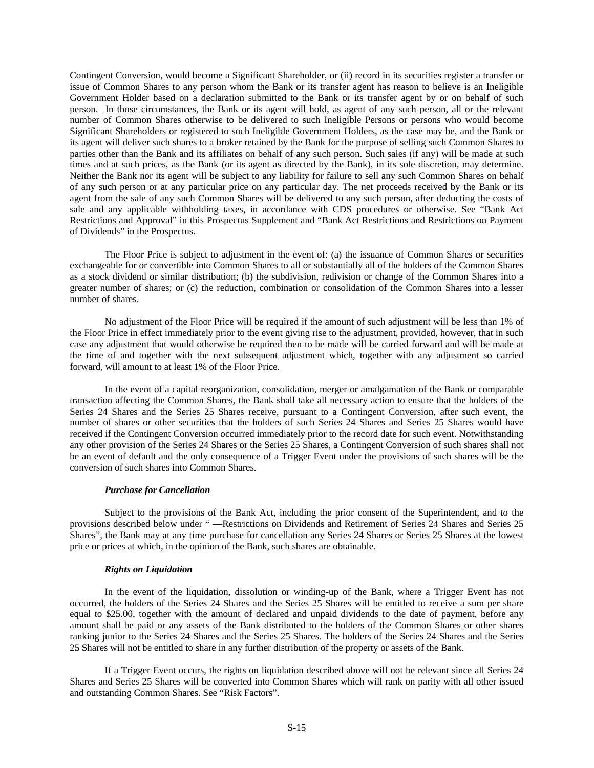Contingent Conversion, would become a Significant Shareholder, or (ii) record in its securities register a transfer or issue of Common Shares to any person whom the Bank or its transfer agent has reason to believe is an Ineligible Government Holder based on a declaration submitted to the Bank or its transfer agent by or on behalf of such person. In those circumstances, the Bank or its agent will hold, as agent of any such person, all or the relevant number of Common Shares otherwise to be delivered to such Ineligible Persons or persons who would become Significant Shareholders or registered to such Ineligible Government Holders, as the case may be, and the Bank or its agent will deliver such shares to a broker retained by the Bank for the purpose of selling such Common Shares to parties other than the Bank and its affiliates on behalf of any such person. Such sales (if any) will be made at such times and at such prices, as the Bank (or its agent as directed by the Bank), in its sole discretion, may determine. Neither the Bank nor its agent will be subject to any liability for failure to sell any such Common Shares on behalf of any such person or at any particular price on any particular day. The net proceeds received by the Bank or its agent from the sale of any such Common Shares will be delivered to any such person, after deducting the costs of sale and any applicable withholding taxes, in accordance with CDS procedures or otherwise. See "Bank Act Restrictions and Approval" in this Prospectus Supplement and "Bank Act Restrictions and Restrictions on Payment of Dividends" in the Prospectus.

The Floor Price is subject to adjustment in the event of: (a) the issuance of Common Shares or securities exchangeable for or convertible into Common Shares to all or substantially all of the holders of the Common Shares as a stock dividend or similar distribution; (b) the subdivision, redivision or change of the Common Shares into a greater number of shares; or (c) the reduction, combination or consolidation of the Common Shares into a lesser number of shares.

No adjustment of the Floor Price will be required if the amount of such adjustment will be less than 1% of the Floor Price in effect immediately prior to the event giving rise to the adjustment, provided, however, that in such case any adjustment that would otherwise be required then to be made will be carried forward and will be made at the time of and together with the next subsequent adjustment which, together with any adjustment so carried forward, will amount to at least 1% of the Floor Price.

In the event of a capital reorganization, consolidation, merger or amalgamation of the Bank or comparable transaction affecting the Common Shares, the Bank shall take all necessary action to ensure that the holders of the Series 24 Shares and the Series 25 Shares receive, pursuant to a Contingent Conversion, after such event, the number of shares or other securities that the holders of such Series 24 Shares and Series 25 Shares would have received if the Contingent Conversion occurred immediately prior to the record date for such event. Notwithstanding any other provision of the Series 24 Shares or the Series 25 Shares, a Contingent Conversion of such shares shall not be an event of default and the only consequence of a Trigger Event under the provisions of such shares will be the conversion of such shares into Common Shares.

# *Purchase for Cancellation*

Subject to the provisions of the Bank Act, including the prior consent of the Superintendent, and to the provisions described below under " —Restrictions on Dividends and Retirement of Series 24 Shares and Series 25 Shares", the Bank may at any time purchase for cancellation any Series 24 Shares or Series 25 Shares at the lowest price or prices at which, in the opinion of the Bank, such shares are obtainable.

## *Rights on Liquidation*

In the event of the liquidation, dissolution or winding-up of the Bank, where a Trigger Event has not occurred, the holders of the Series 24 Shares and the Series 25 Shares will be entitled to receive a sum per share equal to \$25.00, together with the amount of declared and unpaid dividends to the date of payment, before any amount shall be paid or any assets of the Bank distributed to the holders of the Common Shares or other shares ranking junior to the Series 24 Shares and the Series 25 Shares. The holders of the Series 24 Shares and the Series 25 Shares will not be entitled to share in any further distribution of the property or assets of the Bank.

If a Trigger Event occurs, the rights on liquidation described above will not be relevant since all Series 24 Shares and Series 25 Shares will be converted into Common Shares which will rank on parity with all other issued and outstanding Common Shares. See "Risk Factors".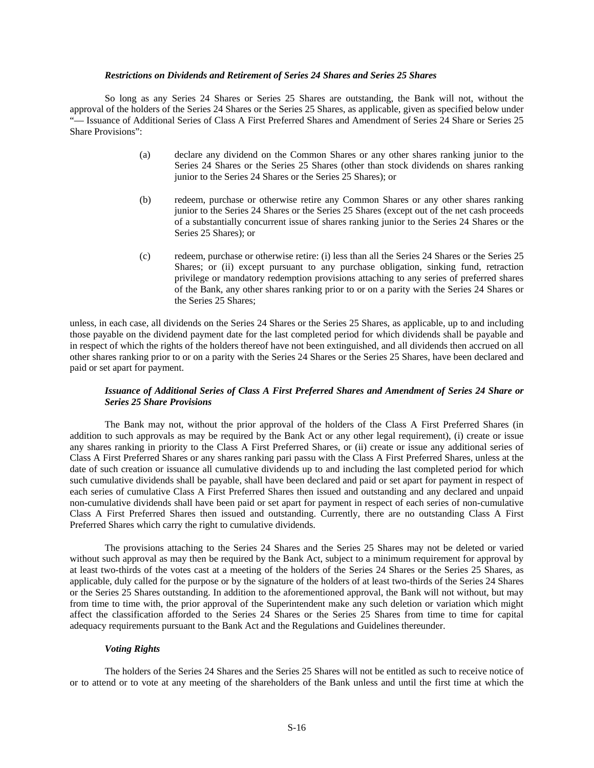## *Restrictions on Dividends and Retirement of Series 24 Shares and Series 25 Shares*

So long as any Series 24 Shares or Series 25 Shares are outstanding, the Bank will not, without the approval of the holders of the Series 24 Shares or the Series 25 Shares, as applicable, given as specified below under "— Issuance of Additional Series of Class A First Preferred Shares and Amendment of Series 24 Share or Series 25 Share Provisions":

- (a) declare any dividend on the Common Shares or any other shares ranking junior to the Series 24 Shares or the Series 25 Shares (other than stock dividends on shares ranking junior to the Series 24 Shares or the Series 25 Shares); or
- (b) redeem, purchase or otherwise retire any Common Shares or any other shares ranking junior to the Series 24 Shares or the Series 25 Shares (except out of the net cash proceeds of a substantially concurrent issue of shares ranking junior to the Series 24 Shares or the Series 25 Shares); or
- (c) redeem, purchase or otherwise retire: (i) less than all the Series 24 Shares or the Series 25 Shares; or (ii) except pursuant to any purchase obligation, sinking fund, retraction privilege or mandatory redemption provisions attaching to any series of preferred shares of the Bank, any other shares ranking prior to or on a parity with the Series 24 Shares or the Series 25 Shares;

unless, in each case, all dividends on the Series 24 Shares or the Series 25 Shares, as applicable, up to and including those payable on the dividend payment date for the last completed period for which dividends shall be payable and in respect of which the rights of the holders thereof have not been extinguished, and all dividends then accrued on all other shares ranking prior to or on a parity with the Series 24 Shares or the Series 25 Shares, have been declared and paid or set apart for payment.

# *Issuance of Additional Series of Class A First Preferred Shares and Amendment of Series 24 Share or Series 25 Share Provisions*

The Bank may not, without the prior approval of the holders of the Class A First Preferred Shares (in addition to such approvals as may be required by the Bank Act or any other legal requirement), (i) create or issue any shares ranking in priority to the Class A First Preferred Shares, or (ii) create or issue any additional series of Class A First Preferred Shares or any shares ranking pari passu with the Class A First Preferred Shares, unless at the date of such creation or issuance all cumulative dividends up to and including the last completed period for which such cumulative dividends shall be payable, shall have been declared and paid or set apart for payment in respect of each series of cumulative Class A First Preferred Shares then issued and outstanding and any declared and unpaid non-cumulative dividends shall have been paid or set apart for payment in respect of each series of non-cumulative Class A First Preferred Shares then issued and outstanding. Currently, there are no outstanding Class A First Preferred Shares which carry the right to cumulative dividends.

The provisions attaching to the Series 24 Shares and the Series 25 Shares may not be deleted or varied without such approval as may then be required by the Bank Act, subject to a minimum requirement for approval by at least two-thirds of the votes cast at a meeting of the holders of the Series 24 Shares or the Series 25 Shares, as applicable, duly called for the purpose or by the signature of the holders of at least two-thirds of the Series 24 Shares or the Series 25 Shares outstanding. In addition to the aforementioned approval, the Bank will not without, but may from time to time with, the prior approval of the Superintendent make any such deletion or variation which might affect the classification afforded to the Series 24 Shares or the Series 25 Shares from time to time for capital adequacy requirements pursuant to the Bank Act and the Regulations and Guidelines thereunder.

#### *Voting Rights*

The holders of the Series 24 Shares and the Series 25 Shares will not be entitled as such to receive notice of or to attend or to vote at any meeting of the shareholders of the Bank unless and until the first time at which the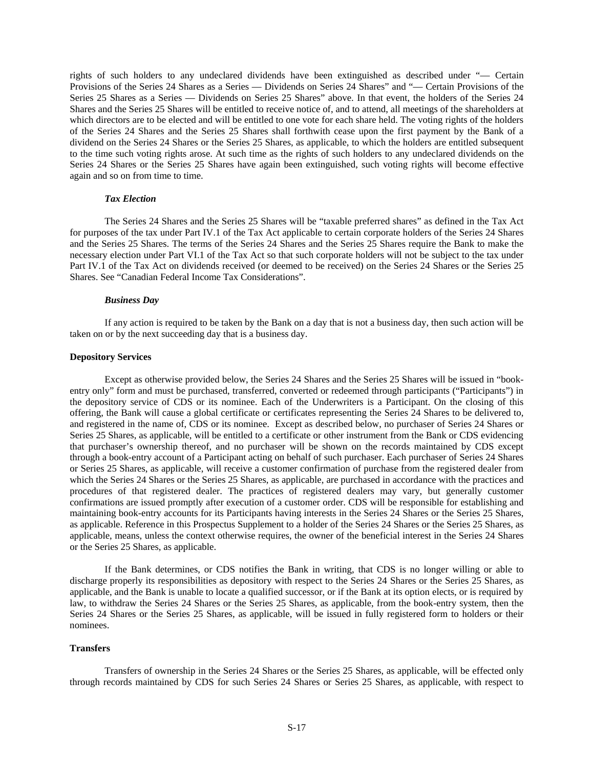rights of such holders to any undeclared dividends have been extinguished as described under "— Certain Provisions of the Series 24 Shares as a Series — Dividends on Series 24 Shares" and "— Certain Provisions of the Series 25 Shares as a Series — Dividends on Series 25 Shares" above. In that event, the holders of the Series 24 Shares and the Series 25 Shares will be entitled to receive notice of, and to attend, all meetings of the shareholders at which directors are to be elected and will be entitled to one vote for each share held. The voting rights of the holders of the Series 24 Shares and the Series 25 Shares shall forthwith cease upon the first payment by the Bank of a dividend on the Series 24 Shares or the Series 25 Shares, as applicable, to which the holders are entitled subsequent to the time such voting rights arose. At such time as the rights of such holders to any undeclared dividends on the Series 24 Shares or the Series 25 Shares have again been extinguished, such voting rights will become effective again and so on from time to time.

### *Tax Election*

The Series 24 Shares and the Series 25 Shares will be "taxable preferred shares" as defined in the Tax Act for purposes of the tax under Part IV.1 of the Tax Act applicable to certain corporate holders of the Series 24 Shares and the Series 25 Shares. The terms of the Series 24 Shares and the Series 25 Shares require the Bank to make the necessary election under Part VI.1 of the Tax Act so that such corporate holders will not be subject to the tax under Part IV.1 of the Tax Act on dividends received (or deemed to be received) on the Series 24 Shares or the Series 25 Shares. See "Canadian Federal Income Tax Considerations".

#### *Business Day*

If any action is required to be taken by the Bank on a day that is not a business day, then such action will be taken on or by the next succeeding day that is a business day.

### **Depository Services**

Except as otherwise provided below, the Series 24 Shares and the Series 25 Shares will be issued in "bookentry only" form and must be purchased, transferred, converted or redeemed through participants ("Participants") in the depository service of CDS or its nominee. Each of the Underwriters is a Participant. On the closing of this offering, the Bank will cause a global certificate or certificates representing the Series 24 Shares to be delivered to, and registered in the name of, CDS or its nominee. Except as described below, no purchaser of Series 24 Shares or Series 25 Shares, as applicable, will be entitled to a certificate or other instrument from the Bank or CDS evidencing that purchaser's ownership thereof, and no purchaser will be shown on the records maintained by CDS except through a book-entry account of a Participant acting on behalf of such purchaser. Each purchaser of Series 24 Shares or Series 25 Shares, as applicable, will receive a customer confirmation of purchase from the registered dealer from which the Series 24 Shares or the Series 25 Shares, as applicable, are purchased in accordance with the practices and procedures of that registered dealer. The practices of registered dealers may vary, but generally customer confirmations are issued promptly after execution of a customer order. CDS will be responsible for establishing and maintaining book-entry accounts for its Participants having interests in the Series 24 Shares or the Series 25 Shares, as applicable. Reference in this Prospectus Supplement to a holder of the Series 24 Shares or the Series 25 Shares, as applicable, means, unless the context otherwise requires, the owner of the beneficial interest in the Series 24 Shares or the Series 25 Shares, as applicable.

If the Bank determines, or CDS notifies the Bank in writing, that CDS is no longer willing or able to discharge properly its responsibilities as depository with respect to the Series 24 Shares or the Series 25 Shares, as applicable, and the Bank is unable to locate a qualified successor, or if the Bank at its option elects, or is required by law, to withdraw the Series 24 Shares or the Series 25 Shares, as applicable, from the book-entry system, then the Series 24 Shares or the Series 25 Shares, as applicable, will be issued in fully registered form to holders or their nominees.

#### **Transfers**

Transfers of ownership in the Series 24 Shares or the Series 25 Shares, as applicable, will be effected only through records maintained by CDS for such Series 24 Shares or Series 25 Shares, as applicable, with respect to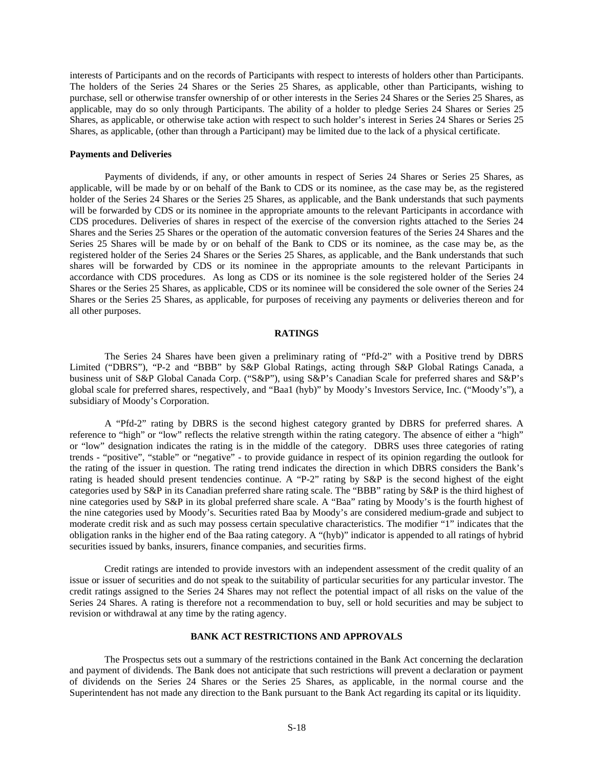interests of Participants and on the records of Participants with respect to interests of holders other than Participants. The holders of the Series 24 Shares or the Series 25 Shares, as applicable, other than Participants, wishing to purchase, sell or otherwise transfer ownership of or other interests in the Series 24 Shares or the Series 25 Shares, as applicable, may do so only through Participants. The ability of a holder to pledge Series 24 Shares or Series 25 Shares, as applicable, or otherwise take action with respect to such holder's interest in Series 24 Shares or Series 25 Shares, as applicable, (other than through a Participant) may be limited due to the lack of a physical certificate.

### **Payments and Deliveries**

Payments of dividends, if any, or other amounts in respect of Series 24 Shares or Series 25 Shares, as applicable, will be made by or on behalf of the Bank to CDS or its nominee, as the case may be, as the registered holder of the Series 24 Shares or the Series 25 Shares, as applicable, and the Bank understands that such payments will be forwarded by CDS or its nominee in the appropriate amounts to the relevant Participants in accordance with CDS procedures. Deliveries of shares in respect of the exercise of the conversion rights attached to the Series 24 Shares and the Series 25 Shares or the operation of the automatic conversion features of the Series 24 Shares and the Series 25 Shares will be made by or on behalf of the Bank to CDS or its nominee, as the case may be, as the registered holder of the Series 24 Shares or the Series 25 Shares, as applicable, and the Bank understands that such shares will be forwarded by CDS or its nominee in the appropriate amounts to the relevant Participants in accordance with CDS procedures. As long as CDS or its nominee is the sole registered holder of the Series 24 Shares or the Series 25 Shares, as applicable, CDS or its nominee will be considered the sole owner of the Series 24 Shares or the Series 25 Shares, as applicable, for purposes of receiving any payments or deliveries thereon and for all other purposes.

# **RATINGS**

<span id="page-17-0"></span>The Series 24 Shares have been given a preliminary rating of "Pfd-2" with a Positive trend by DBRS Limited ("DBRS"), "P-2 and "BBB" by S&P Global Ratings, acting through S&P Global Ratings Canada, a business unit of S&P Global Canada Corp. ("S&P"), using S&P's Canadian Scale for preferred shares and S&P's global scale for preferred shares, respectively, and "Baa1 (hyb)" by Moody's Investors Service, Inc. ("Moody's"), a subsidiary of Moody's Corporation.

A "Pfd-2" rating by DBRS is the second highest category granted by DBRS for preferred shares. A reference to "high" or "low" reflects the relative strength within the rating category. The absence of either a "high" or "low" designation indicates the rating is in the middle of the category. DBRS uses three categories of rating trends - "positive", "stable" or "negative" - to provide guidance in respect of its opinion regarding the outlook for the rating of the issuer in question. The rating trend indicates the direction in which DBRS considers the Bank's rating is headed should present tendencies continue. A "P-2" rating by S&P is the second highest of the eight categories used by S&P in its Canadian preferred share rating scale. The "BBB" rating by S&P is the third highest of nine categories used by S&P in its global preferred share scale. A "Baa" rating by Moody's is the fourth highest of the nine categories used by Moody's. Securities rated Baa by Moody's are considered medium-grade and subject to moderate credit risk and as such may possess certain speculative characteristics. The modifier "1" indicates that the obligation ranks in the higher end of the Baa rating category. A "(hyb)" indicator is appended to all ratings of hybrid securities issued by banks, insurers, finance companies, and securities firms.

Credit ratings are intended to provide investors with an independent assessment of the credit quality of an issue or issuer of securities and do not speak to the suitability of particular securities for any particular investor. The credit ratings assigned to the Series 24 Shares may not reflect the potential impact of all risks on the value of the Series 24 Shares. A rating is therefore not a recommendation to buy, sell or hold securities and may be subject to revision or withdrawal at any time by the rating agency.

# **BANK ACT RESTRICTIONS AND APPROVALS**

<span id="page-17-1"></span>The Prospectus sets out a summary of the restrictions contained in the Bank Act concerning the declaration and payment of dividends. The Bank does not anticipate that such restrictions will prevent a declaration or payment of dividends on the Series 24 Shares or the Series 25 Shares, as applicable, in the normal course and the Superintendent has not made any direction to the Bank pursuant to the Bank Act regarding its capital or its liquidity.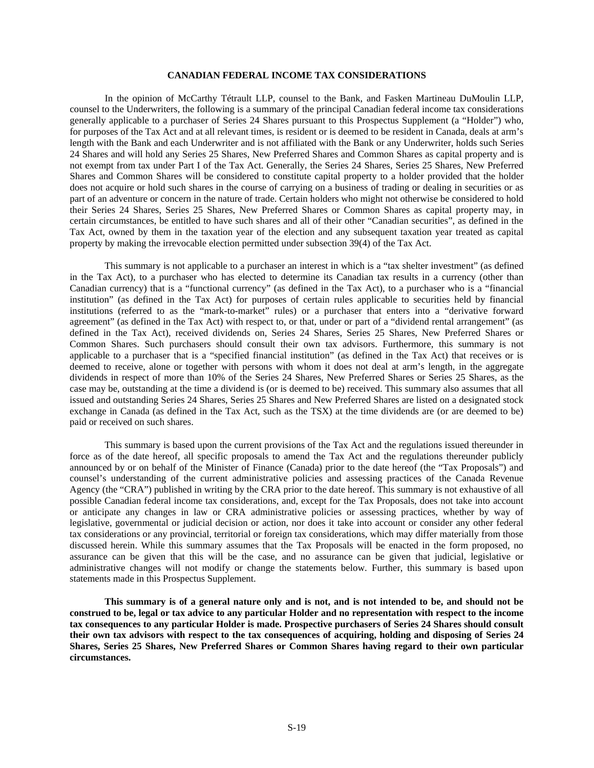# **CANADIAN FEDERAL INCOME TAX CONSIDERATIONS**

<span id="page-18-0"></span>In the opinion of McCarthy Tétrault LLP, counsel to the Bank, and Fasken Martineau DuMoulin LLP, counsel to the Underwriters, the following is a summary of the principal Canadian federal income tax considerations generally applicable to a purchaser of Series 24 Shares pursuant to this Prospectus Supplement (a "Holder") who, for purposes of the Tax Act and at all relevant times, is resident or is deemed to be resident in Canada, deals at arm's length with the Bank and each Underwriter and is not affiliated with the Bank or any Underwriter, holds such Series 24 Shares and will hold any Series 25 Shares, New Preferred Shares and Common Shares as capital property and is not exempt from tax under Part I of the Tax Act. Generally, the Series 24 Shares, Series 25 Shares, New Preferred Shares and Common Shares will be considered to constitute capital property to a holder provided that the holder does not acquire or hold such shares in the course of carrying on a business of trading or dealing in securities or as part of an adventure or concern in the nature of trade. Certain holders who might not otherwise be considered to hold their Series 24 Shares, Series 25 Shares, New Preferred Shares or Common Shares as capital property may, in certain circumstances, be entitled to have such shares and all of their other "Canadian securities", as defined in the Tax Act, owned by them in the taxation year of the election and any subsequent taxation year treated as capital property by making the irrevocable election permitted under subsection 39(4) of the Tax Act.

This summary is not applicable to a purchaser an interest in which is a "tax shelter investment" (as defined in the Tax Act), to a purchaser who has elected to determine its Canadian tax results in a currency (other than Canadian currency) that is a "functional currency" (as defined in the Tax Act), to a purchaser who is a "financial institution" (as defined in the Tax Act) for purposes of certain rules applicable to securities held by financial institutions (referred to as the "mark-to-market" rules) or a purchaser that enters into a "derivative forward agreement" (as defined in the Tax Act) with respect to, or that, under or part of a "dividend rental arrangement" (as defined in the Tax Act), received dividends on, Series 24 Shares, Series 25 Shares, New Preferred Shares or Common Shares. Such purchasers should consult their own tax advisors. Furthermore, this summary is not applicable to a purchaser that is a "specified financial institution" (as defined in the Tax Act) that receives or is deemed to receive, alone or together with persons with whom it does not deal at arm's length, in the aggregate dividends in respect of more than 10% of the Series 24 Shares, New Preferred Shares or Series 25 Shares, as the case may be, outstanding at the time a dividend is (or is deemed to be) received. This summary also assumes that all issued and outstanding Series 24 Shares, Series 25 Shares and New Preferred Shares are listed on a designated stock exchange in Canada (as defined in the Tax Act, such as the TSX) at the time dividends are (or are deemed to be) paid or received on such shares.

This summary is based upon the current provisions of the Tax Act and the regulations issued thereunder in force as of the date hereof, all specific proposals to amend the Tax Act and the regulations thereunder publicly announced by or on behalf of the Minister of Finance (Canada) prior to the date hereof (the "Tax Proposals") and counsel's understanding of the current administrative policies and assessing practices of the Canada Revenue Agency (the "CRA") published in writing by the CRA prior to the date hereof. This summary is not exhaustive of all possible Canadian federal income tax considerations, and, except for the Tax Proposals, does not take into account or anticipate any changes in law or CRA administrative policies or assessing practices, whether by way of legislative, governmental or judicial decision or action, nor does it take into account or consider any other federal tax considerations or any provincial, territorial or foreign tax considerations, which may differ materially from those discussed herein. While this summary assumes that the Tax Proposals will be enacted in the form proposed, no assurance can be given that this will be the case, and no assurance can be given that judicial, legislative or administrative changes will not modify or change the statements below. Further, this summary is based upon statements made in this Prospectus Supplement.

**This summary is of a general nature only and is not, and is not intended to be, and should not be construed to be, legal or tax advice to any particular Holder and no representation with respect to the income tax consequences to any particular Holder is made. Prospective purchasers of Series 24 Shares should consult their own tax advisors with respect to the tax consequences of acquiring, holding and disposing of Series 24 Shares, Series 25 Shares, New Preferred Shares or Common Shares having regard to their own particular circumstances.**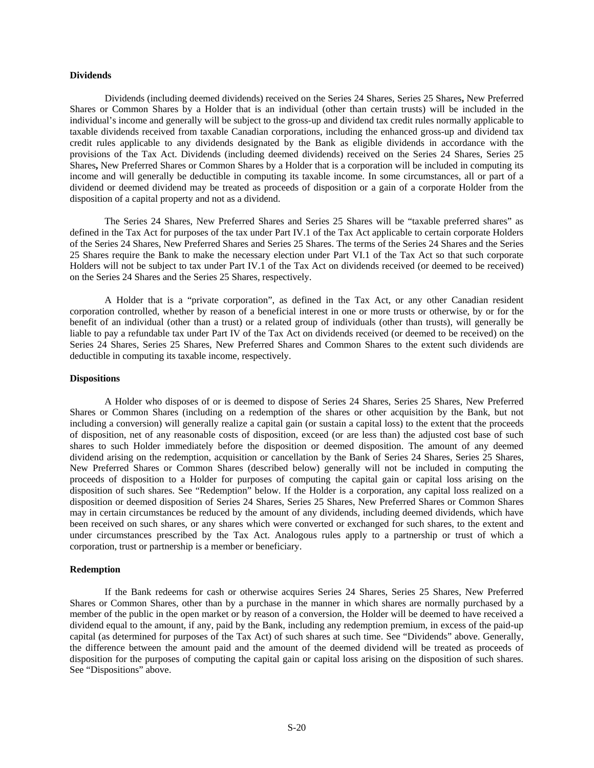# **Dividends**

Dividends (including deemed dividends) received on the Series 24 Shares, Series 25 Shares**,** New Preferred Shares or Common Shares by a Holder that is an individual (other than certain trusts) will be included in the individual's income and generally will be subject to the gross-up and dividend tax credit rules normally applicable to taxable dividends received from taxable Canadian corporations, including the enhanced gross-up and dividend tax credit rules applicable to any dividends designated by the Bank as eligible dividends in accordance with the provisions of the Tax Act. Dividends (including deemed dividends) received on the Series 24 Shares, Series 25 Shares**,** New Preferred Shares or Common Shares by a Holder that is a corporation will be included in computing its income and will generally be deductible in computing its taxable income. In some circumstances, all or part of a dividend or deemed dividend may be treated as proceeds of disposition or a gain of a corporate Holder from the disposition of a capital property and not as a dividend.

The Series 24 Shares, New Preferred Shares and Series 25 Shares will be "taxable preferred shares" as defined in the Tax Act for purposes of the tax under Part IV.1 of the Tax Act applicable to certain corporate Holders of the Series 24 Shares, New Preferred Shares and Series 25 Shares. The terms of the Series 24 Shares and the Series 25 Shares require the Bank to make the necessary election under Part VI.1 of the Tax Act so that such corporate Holders will not be subject to tax under Part IV.1 of the Tax Act on dividends received (or deemed to be received) on the Series 24 Shares and the Series 25 Shares, respectively.

A Holder that is a "private corporation", as defined in the Tax Act, or any other Canadian resident corporation controlled, whether by reason of a beneficial interest in one or more trusts or otherwise, by or for the benefit of an individual (other than a trust) or a related group of individuals (other than trusts), will generally be liable to pay a refundable tax under Part IV of the Tax Act on dividends received (or deemed to be received) on the Series 24 Shares, Series 25 Shares, New Preferred Shares and Common Shares to the extent such dividends are deductible in computing its taxable income, respectively.

### **Dispositions**

A Holder who disposes of or is deemed to dispose of Series 24 Shares, Series 25 Shares, New Preferred Shares or Common Shares (including on a redemption of the shares or other acquisition by the Bank, but not including a conversion) will generally realize a capital gain (or sustain a capital loss) to the extent that the proceeds of disposition, net of any reasonable costs of disposition, exceed (or are less than) the adjusted cost base of such shares to such Holder immediately before the disposition or deemed disposition. The amount of any deemed dividend arising on the redemption, acquisition or cancellation by the Bank of Series 24 Shares, Series 25 Shares, New Preferred Shares or Common Shares (described below) generally will not be included in computing the proceeds of disposition to a Holder for purposes of computing the capital gain or capital loss arising on the disposition of such shares. See "Redemption" below. If the Holder is a corporation, any capital loss realized on a disposition or deemed disposition of Series 24 Shares, Series 25 Shares, New Preferred Shares or Common Shares may in certain circumstances be reduced by the amount of any dividends, including deemed dividends, which have been received on such shares, or any shares which were converted or exchanged for such shares, to the extent and under circumstances prescribed by the Tax Act. Analogous rules apply to a partnership or trust of which a corporation, trust or partnership is a member or beneficiary.

#### **Redemption**

If the Bank redeems for cash or otherwise acquires Series 24 Shares, Series 25 Shares, New Preferred Shares or Common Shares, other than by a purchase in the manner in which shares are normally purchased by a member of the public in the open market or by reason of a conversion, the Holder will be deemed to have received a dividend equal to the amount, if any, paid by the Bank, including any redemption premium, in excess of the paid-up capital (as determined for purposes of the Tax Act) of such shares at such time. See "Dividends" above. Generally, the difference between the amount paid and the amount of the deemed dividend will be treated as proceeds of disposition for the purposes of computing the capital gain or capital loss arising on the disposition of such shares. See "Dispositions" above.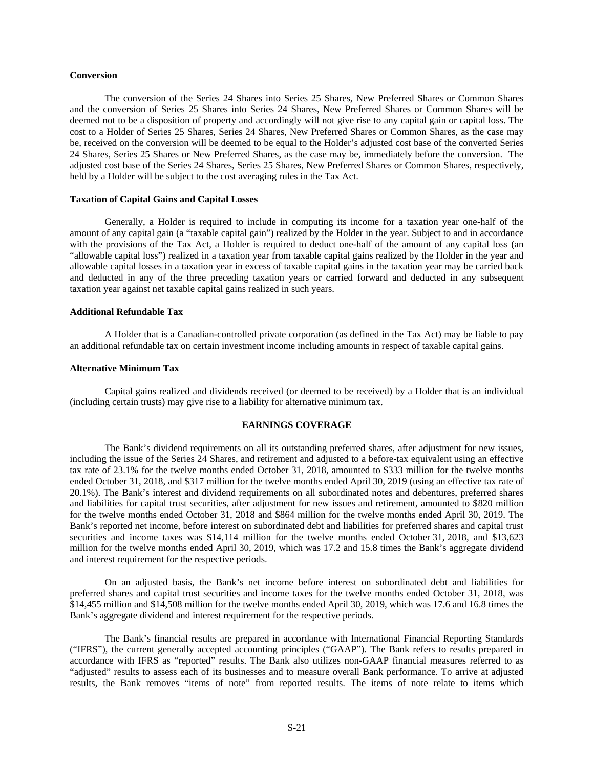## **Conversion**

The conversion of the Series 24 Shares into Series 25 Shares, New Preferred Shares or Common Shares and the conversion of Series 25 Shares into Series 24 Shares, New Preferred Shares or Common Shares will be deemed not to be a disposition of property and accordingly will not give rise to any capital gain or capital loss. The cost to a Holder of Series 25 Shares, Series 24 Shares, New Preferred Shares or Common Shares, as the case may be, received on the conversion will be deemed to be equal to the Holder's adjusted cost base of the converted Series 24 Shares, Series 25 Shares or New Preferred Shares, as the case may be, immediately before the conversion. The adjusted cost base of the Series 24 Shares, Series 25 Shares, New Preferred Shares or Common Shares, respectively, held by a Holder will be subject to the cost averaging rules in the Tax Act.

#### **Taxation of Capital Gains and Capital Losses**

Generally, a Holder is required to include in computing its income for a taxation year one-half of the amount of any capital gain (a "taxable capital gain") realized by the Holder in the year. Subject to and in accordance with the provisions of the Tax Act, a Holder is required to deduct one-half of the amount of any capital loss (an "allowable capital loss") realized in a taxation year from taxable capital gains realized by the Holder in the year and allowable capital losses in a taxation year in excess of taxable capital gains in the taxation year may be carried back and deducted in any of the three preceding taxation years or carried forward and deducted in any subsequent taxation year against net taxable capital gains realized in such years.

#### **Additional Refundable Tax**

A Holder that is a Canadian-controlled private corporation (as defined in the Tax Act) may be liable to pay an additional refundable tax on certain investment income including amounts in respect of taxable capital gains.

#### **Alternative Minimum Tax**

Capital gains realized and dividends received (or deemed to be received) by a Holder that is an individual (including certain trusts) may give rise to a liability for alternative minimum tax.

#### **EARNINGS COVERAGE**

<span id="page-20-0"></span>The Bank's dividend requirements on all its outstanding preferred shares, after adjustment for new issues, including the issue of the Series 24 Shares, and retirement and adjusted to a before-tax equivalent using an effective tax rate of 23.1% for the twelve months ended October 31, 2018, amounted to \$333 million for the twelve months ended October 31, 2018, and \$317 million for the twelve months ended April 30, 2019 (using an effective tax rate of 20.1%). The Bank's interest and dividend requirements on all subordinated notes and debentures, preferred shares and liabilities for capital trust securities, after adjustment for new issues and retirement, amounted to \$820 million for the twelve months ended October 31, 2018 and \$864 million for the twelve months ended April 30, 2019. The Bank's reported net income, before interest on subordinated debt and liabilities for preferred shares and capital trust securities and income taxes was \$14,114 million for the twelve months ended October 31, 2018, and \$13,623 million for the twelve months ended April 30, 2019, which was 17.2 and 15.8 times the Bank's aggregate dividend and interest requirement for the respective periods.

On an adjusted basis, the Bank's net income before interest on subordinated debt and liabilities for preferred shares and capital trust securities and income taxes for the twelve months ended October 31, 2018, was \$14,455 million and \$14,508 million for the twelve months ended April 30, 2019, which was 17.6 and 16.8 times the Bank's aggregate dividend and interest requirement for the respective periods.

The Bank's financial results are prepared in accordance with International Financial Reporting Standards ("IFRS"), the current generally accepted accounting principles ("GAAP"). The Bank refers to results prepared in accordance with IFRS as "reported" results. The Bank also utilizes non-GAAP financial measures referred to as "adjusted" results to assess each of its businesses and to measure overall Bank performance. To arrive at adjusted results, the Bank removes "items of note" from reported results. The items of note relate to items which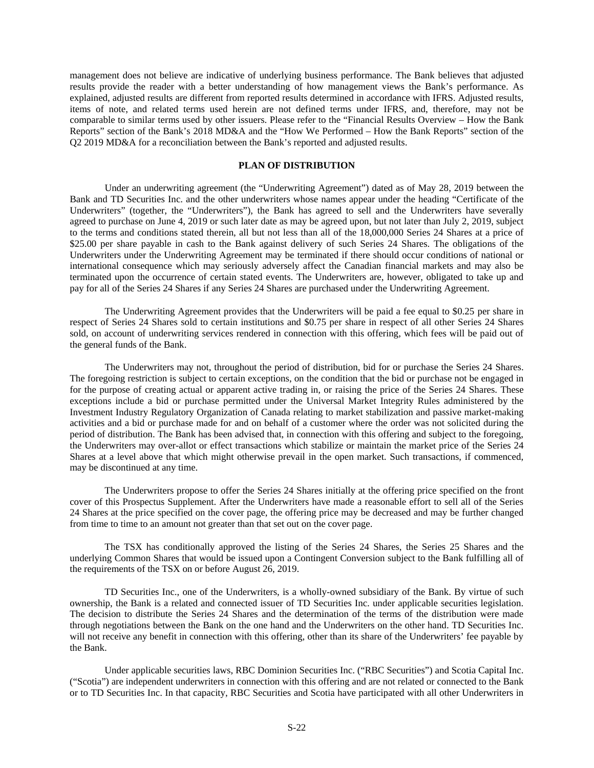management does not believe are indicative of underlying business performance. The Bank believes that adjusted results provide the reader with a better understanding of how management views the Bank's performance. As explained, adjusted results are different from reported results determined in accordance with IFRS. Adjusted results, items of note, and related terms used herein are not defined terms under IFRS, and, therefore, may not be comparable to similar terms used by other issuers. Please refer to the "Financial Results Overview – How the Bank Reports" section of the Bank's 2018 MD&A and the "How We Performed – How the Bank Reports" section of the Q2 2019 MD&A for a reconciliation between the Bank's reported and adjusted results.

# **PLAN OF DISTRIBUTION**

<span id="page-21-0"></span>Under an underwriting agreement (the "Underwriting Agreement") dated as of May 28, 2019 between the Bank and TD Securities Inc. and the other underwriters whose names appear under the heading "Certificate of the Underwriters" (together, the "Underwriters"), the Bank has agreed to sell and the Underwriters have severally agreed to purchase on June 4, 2019 or such later date as may be agreed upon, but not later than July 2, 2019, subject to the terms and conditions stated therein, all but not less than all of the 18,000,000 Series 24 Shares at a price of \$25.00 per share payable in cash to the Bank against delivery of such Series 24 Shares. The obligations of the Underwriters under the Underwriting Agreement may be terminated if there should occur conditions of national or international consequence which may seriously adversely affect the Canadian financial markets and may also be terminated upon the occurrence of certain stated events. The Underwriters are, however, obligated to take up and pay for all of the Series 24 Shares if any Series 24 Shares are purchased under the Underwriting Agreement.

The Underwriting Agreement provides that the Underwriters will be paid a fee equal to \$0.25 per share in respect of Series 24 Shares sold to certain institutions and \$0.75 per share in respect of all other Series 24 Shares sold, on account of underwriting services rendered in connection with this offering, which fees will be paid out of the general funds of the Bank.

The Underwriters may not, throughout the period of distribution, bid for or purchase the Series 24 Shares. The foregoing restriction is subject to certain exceptions, on the condition that the bid or purchase not be engaged in for the purpose of creating actual or apparent active trading in, or raising the price of the Series 24 Shares. These exceptions include a bid or purchase permitted under the Universal Market Integrity Rules administered by the Investment Industry Regulatory Organization of Canada relating to market stabilization and passive market-making activities and a bid or purchase made for and on behalf of a customer where the order was not solicited during the period of distribution. The Bank has been advised that, in connection with this offering and subject to the foregoing, the Underwriters may over-allot or effect transactions which stabilize or maintain the market price of the Series 24 Shares at a level above that which might otherwise prevail in the open market. Such transactions, if commenced, may be discontinued at any time.

The Underwriters propose to offer the Series 24 Shares initially at the offering price specified on the front cover of this Prospectus Supplement. After the Underwriters have made a reasonable effort to sell all of the Series 24 Shares at the price specified on the cover page, the offering price may be decreased and may be further changed from time to time to an amount not greater than that set out on the cover page.

The TSX has conditionally approved the listing of the Series 24 Shares, the Series 25 Shares and the underlying Common Shares that would be issued upon a Contingent Conversion subject to the Bank fulfilling all of the requirements of the TSX on or before August 26, 2019.

TD Securities Inc., one of the Underwriters, is a wholly-owned subsidiary of the Bank. By virtue of such ownership, the Bank is a related and connected issuer of TD Securities Inc. under applicable securities legislation. The decision to distribute the Series 24 Shares and the determination of the terms of the distribution were made through negotiations between the Bank on the one hand and the Underwriters on the other hand. TD Securities Inc. will not receive any benefit in connection with this offering, other than its share of the Underwriters' fee payable by the Bank.

Under applicable securities laws, RBC Dominion Securities Inc. ("RBC Securities") and Scotia Capital Inc. ("Scotia") are independent underwriters in connection with this offering and are not related or connected to the Bank or to TD Securities Inc. In that capacity, RBC Securities and Scotia have participated with all other Underwriters in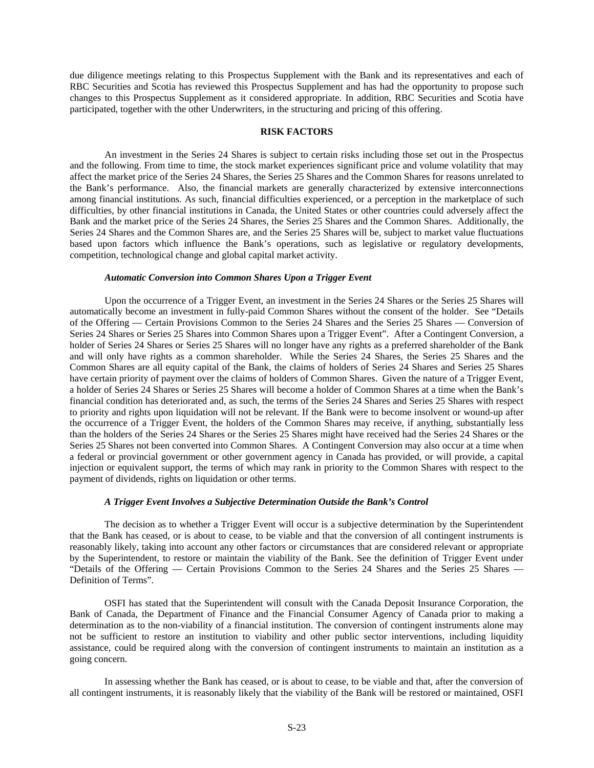due diligence meetings relating to this Prospectus Supplement with the Bank and its representatives and each of RBC Securities and Scotia has reviewed this Prospectus Supplement and has had the opportunity to propose such changes to this Prospectus Supplement as it considered appropriate. In addition, RBC Securities and Scotia have participated, together with the other Underwriters, in the structuring and pricing of this offering.

#### **RISK FACTORS**

<span id="page-22-0"></span>An investment in the Series 24 Shares is subject to certain risks including those set out in the Prospectus and the following. From time to time, the stock market experiences significant price and volume volatility that may affect the market price of the Series 24 Shares, the Series 25 Shares and the Common Shares for reasons unrelated to the Bank's performance. Also, the financial markets are generally characterized by extensive interconnections among financial institutions. As such, financial difficulties experienced, or a perception in the marketplace of such difficulties, by other financial institutions in Canada, the United States or other countries could adversely affect the Bank and the market price of the Series 24 Shares, the Series 25 Shares and the Common Shares. Additionally, the Series 24 Shares and the Common Shares are, and the Series 25 Shares will be, subject to market value fluctuations based upon factors which influence the Bank's operations, such as legislative or regulatory developments, competition, technological change and global capital market activity.

# *Automatic Conversion into Common Shares Upon a Trigger Event*

Upon the occurrence of a Trigger Event, an investment in the Series 24 Shares or the Series 25 Shares will automatically become an investment in fully-paid Common Shares without the consent of the holder. See "Details of the Offering — Certain Provisions Common to the Series 24 Shares and the Series 25 Shares — Conversion of Series 24 Shares or Series 25 Shares into Common Shares upon a Trigger Event". After a Contingent Conversion, a holder of Series 24 Shares or Series 25 Shares will no longer have any rights as a preferred shareholder of the Bank and will only have rights as a common shareholder. While the Series 24 Shares, the Series 25 Shares and the Common Shares are all equity capital of the Bank, the claims of holders of Series 24 Shares and Series 25 Shares have certain priority of payment over the claims of holders of Common Shares. Given the nature of a Trigger Event, a holder of Series 24 Shares or Series 25 Shares will become a holder of Common Shares at a time when the Bank's financial condition has deteriorated and, as such, the terms of the Series 24 Shares and Series 25 Shares with respect to priority and rights upon liquidation will not be relevant. If the Bank were to become insolvent or wound-up after the occurrence of a Trigger Event, the holders of the Common Shares may receive, if anything, substantially less than the holders of the Series 24 Shares or the Series 25 Shares might have received had the Series 24 Shares or the Series 25 Shares not been converted into Common Shares. A Contingent Conversion may also occur at a time when a federal or provincial government or other government agency in Canada has provided, or will provide, a capital injection or equivalent support, the terms of which may rank in priority to the Common Shares with respect to the payment of dividends, rights on liquidation or other terms.

# *A Trigger Event Involves a Subjective Determination Outside the Bank's Control*

The decision as to whether a Trigger Event will occur is a subjective determination by the Superintendent that the Bank has ceased, or is about to cease, to be viable and that the conversion of all contingent instruments is reasonably likely, taking into account any other factors or circumstances that are considered relevant or appropriate by the Superintendent, to restore or maintain the viability of the Bank. See the definition of Trigger Event under "Details of the Offering — Certain Provisions Common to the Series 24 Shares and the Series 25 Shares — Definition of Terms".

OSFI has stated that the Superintendent will consult with the Canada Deposit Insurance Corporation, the Bank of Canada, the Department of Finance and the Financial Consumer Agency of Canada prior to making a determination as to the non-viability of a financial institution. The conversion of contingent instruments alone may not be sufficient to restore an institution to viability and other public sector interventions, including liquidity assistance, could be required along with the conversion of contingent instruments to maintain an institution as a going concern.

In assessing whether the Bank has ceased, or is about to cease, to be viable and that, after the conversion of all contingent instruments, it is reasonably likely that the viability of the Bank will be restored or maintained, OSFI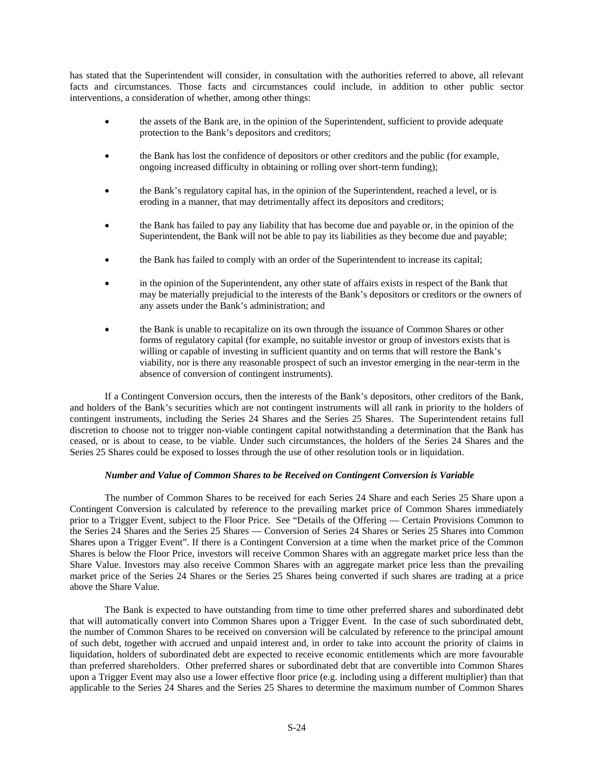has stated that the Superintendent will consider, in consultation with the authorities referred to above, all relevant facts and circumstances. Those facts and circumstances could include, in addition to other public sector interventions, a consideration of whether, among other things:

- the assets of the Bank are, in the opinion of the Superintendent, sufficient to provide adequate protection to the Bank's depositors and creditors;
- the Bank has lost the confidence of depositors or other creditors and the public (for example, ongoing increased difficulty in obtaining or rolling over short-term funding);
- the Bank's regulatory capital has, in the opinion of the Superintendent, reached a level, or is eroding in a manner, that may detrimentally affect its depositors and creditors;
- the Bank has failed to pay any liability that has become due and payable or, in the opinion of the Superintendent, the Bank will not be able to pay its liabilities as they become due and payable;
- the Bank has failed to comply with an order of the Superintendent to increase its capital;
- in the opinion of the Superintendent, any other state of affairs exists in respect of the Bank that may be materially prejudicial to the interests of the Bank's depositors or creditors or the owners of any assets under the Bank's administration; and
- the Bank is unable to recapitalize on its own through the issuance of Common Shares or other forms of regulatory capital (for example, no suitable investor or group of investors exists that is willing or capable of investing in sufficient quantity and on terms that will restore the Bank's viability, nor is there any reasonable prospect of such an investor emerging in the near-term in the absence of conversion of contingent instruments).

If a Contingent Conversion occurs, then the interests of the Bank's depositors, other creditors of the Bank, and holders of the Bank's securities which are not contingent instruments will all rank in priority to the holders of contingent instruments, including the Series 24 Shares and the Series 25 Shares. The Superintendent retains full discretion to choose not to trigger non-viable contingent capital notwithstanding a determination that the Bank has ceased, or is about to cease, to be viable. Under such circumstances, the holders of the Series 24 Shares and the Series 25 Shares could be exposed to losses through the use of other resolution tools or in liquidation.

#### *Number and Value of Common Shares to be Received on Contingent Conversion is Variable*

The number of Common Shares to be received for each Series 24 Share and each Series 25 Share upon a Contingent Conversion is calculated by reference to the prevailing market price of Common Shares immediately prior to a Trigger Event, subject to the Floor Price. See "Details of the Offering — Certain Provisions Common to the Series 24 Shares and the Series 25 Shares — Conversion of Series 24 Shares or Series 25 Shares into Common Shares upon a Trigger Event". If there is a Contingent Conversion at a time when the market price of the Common Shares is below the Floor Price, investors will receive Common Shares with an aggregate market price less than the Share Value. Investors may also receive Common Shares with an aggregate market price less than the prevailing market price of the Series 24 Shares or the Series 25 Shares being converted if such shares are trading at a price above the Share Value.

The Bank is expected to have outstanding from time to time other preferred shares and subordinated debt that will automatically convert into Common Shares upon a Trigger Event. In the case of such subordinated debt, the number of Common Shares to be received on conversion will be calculated by reference to the principal amount of such debt, together with accrued and unpaid interest and, in order to take into account the priority of claims in liquidation, holders of subordinated debt are expected to receive economic entitlements which are more favourable than preferred shareholders. Other preferred shares or subordinated debt that are convertible into Common Shares upon a Trigger Event may also use a lower effective floor price (e.g. including using a different multiplier) than that applicable to the Series 24 Shares and the Series 25 Shares to determine the maximum number of Common Shares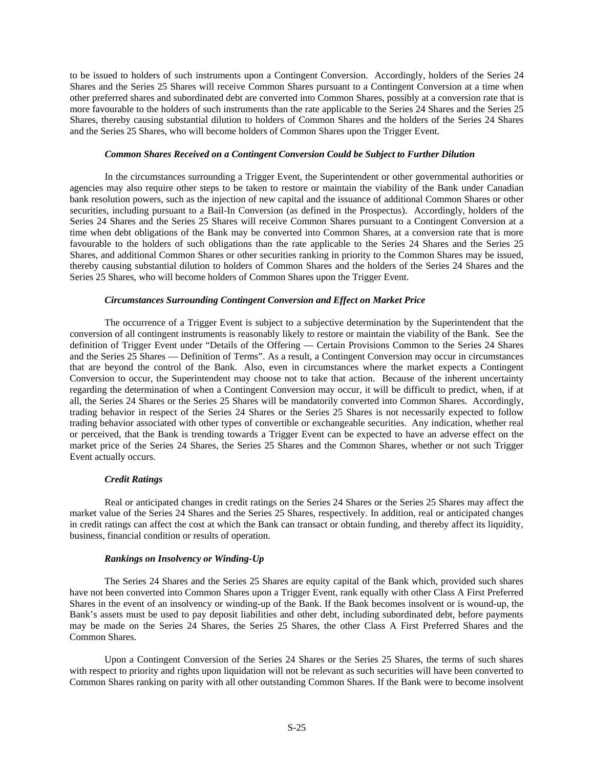to be issued to holders of such instruments upon a Contingent Conversion. Accordingly, holders of the Series 24 Shares and the Series 25 Shares will receive Common Shares pursuant to a Contingent Conversion at a time when other preferred shares and subordinated debt are converted into Common Shares, possibly at a conversion rate that is more favourable to the holders of such instruments than the rate applicable to the Series 24 Shares and the Series 25 Shares, thereby causing substantial dilution to holders of Common Shares and the holders of the Series 24 Shares and the Series 25 Shares, who will become holders of Common Shares upon the Trigger Event.

### *Common Shares Received on a Contingent Conversion Could be Subject to Further Dilution*

In the circumstances surrounding a Trigger Event, the Superintendent or other governmental authorities or agencies may also require other steps to be taken to restore or maintain the viability of the Bank under Canadian bank resolution powers, such as the injection of new capital and the issuance of additional Common Shares or other securities, including pursuant to a Bail-In Conversion (as defined in the Prospectus). Accordingly, holders of the Series 24 Shares and the Series 25 Shares will receive Common Shares pursuant to a Contingent Conversion at a time when debt obligations of the Bank may be converted into Common Shares, at a conversion rate that is more favourable to the holders of such obligations than the rate applicable to the Series 24 Shares and the Series 25 Shares, and additional Common Shares or other securities ranking in priority to the Common Shares may be issued, thereby causing substantial dilution to holders of Common Shares and the holders of the Series 24 Shares and the Series 25 Shares, who will become holders of Common Shares upon the Trigger Event.

# *Circumstances Surrounding Contingent Conversion and Effect on Market Price*

The occurrence of a Trigger Event is subject to a subjective determination by the Superintendent that the conversion of all contingent instruments is reasonably likely to restore or maintain the viability of the Bank. See the definition of Trigger Event under "Details of the Offering — Certain Provisions Common to the Series 24 Shares and the Series 25 Shares — Definition of Terms". As a result, a Contingent Conversion may occur in circumstances that are beyond the control of the Bank. Also, even in circumstances where the market expects a Contingent Conversion to occur, the Superintendent may choose not to take that action. Because of the inherent uncertainty regarding the determination of when a Contingent Conversion may occur, it will be difficult to predict, when, if at all, the Series 24 Shares or the Series 25 Shares will be mandatorily converted into Common Shares. Accordingly, trading behavior in respect of the Series 24 Shares or the Series 25 Shares is not necessarily expected to follow trading behavior associated with other types of convertible or exchangeable securities. Any indication, whether real or perceived, that the Bank is trending towards a Trigger Event can be expected to have an adverse effect on the market price of the Series 24 Shares, the Series 25 Shares and the Common Shares, whether or not such Trigger Event actually occurs.

# *Credit Ratings*

Real or anticipated changes in credit ratings on the Series 24 Shares or the Series 25 Shares may affect the market value of the Series 24 Shares and the Series 25 Shares, respectively. In addition, real or anticipated changes in credit ratings can affect the cost at which the Bank can transact or obtain funding, and thereby affect its liquidity, business, financial condition or results of operation.

## *Rankings on Insolvency or Winding-Up*

The Series 24 Shares and the Series 25 Shares are equity capital of the Bank which, provided such shares have not been converted into Common Shares upon a Trigger Event, rank equally with other Class A First Preferred Shares in the event of an insolvency or winding-up of the Bank. If the Bank becomes insolvent or is wound-up, the Bank's assets must be used to pay deposit liabilities and other debt, including subordinated debt, before payments may be made on the Series 24 Shares, the Series 25 Shares, the other Class A First Preferred Shares and the Common Shares.

Upon a Contingent Conversion of the Series 24 Shares or the Series 25 Shares, the terms of such shares with respect to priority and rights upon liquidation will not be relevant as such securities will have been converted to Common Shares ranking on parity with all other outstanding Common Shares. If the Bank were to become insolvent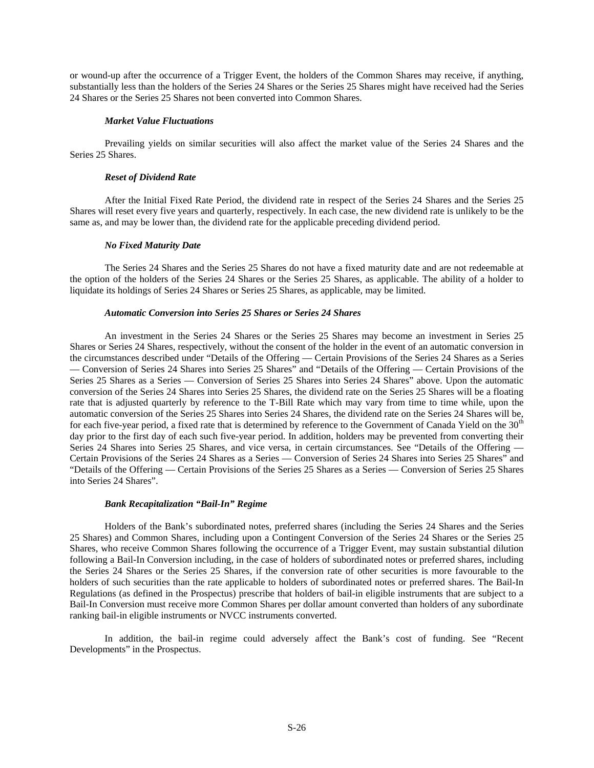or wound-up after the occurrence of a Trigger Event, the holders of the Common Shares may receive, if anything, substantially less than the holders of the Series 24 Shares or the Series 25 Shares might have received had the Series 24 Shares or the Series 25 Shares not been converted into Common Shares.

## *Market Value Fluctuations*

Prevailing yields on similar securities will also affect the market value of the Series 24 Shares and the Series 25 Shares.

## *Reset of Dividend Rate*

After the Initial Fixed Rate Period, the dividend rate in respect of the Series 24 Shares and the Series 25 Shares will reset every five years and quarterly, respectively. In each case, the new dividend rate is unlikely to be the same as, and may be lower than, the dividend rate for the applicable preceding dividend period.

# *No Fixed Maturity Date*

The Series 24 Shares and the Series 25 Shares do not have a fixed maturity date and are not redeemable at the option of the holders of the Series 24 Shares or the Series 25 Shares, as applicable. The ability of a holder to liquidate its holdings of Series 24 Shares or Series 25 Shares, as applicable, may be limited.

# *Automatic Conversion into Series 25 Shares or Series 24 Shares*

An investment in the Series 24 Shares or the Series 25 Shares may become an investment in Series 25 Shares or Series 24 Shares, respectively, without the consent of the holder in the event of an automatic conversion in the circumstances described under "Details of the Offering — Certain Provisions of the Series 24 Shares as a Series — Conversion of Series 24 Shares into Series 25 Shares" and "Details of the Offering — Certain Provisions of the Series 25 Shares as a Series — Conversion of Series 25 Shares into Series 24 Shares" above. Upon the automatic conversion of the Series 24 Shares into Series 25 Shares, the dividend rate on the Series 25 Shares will be a floating rate that is adjusted quarterly by reference to the T-Bill Rate which may vary from time to time while, upon the automatic conversion of the Series 25 Shares into Series 24 Shares, the dividend rate on the Series 24 Shares will be, for each five-year period, a fixed rate that is determined by reference to the Government of Canada Yield on the 30<sup>th</sup> day prior to the first day of each such five-year period. In addition, holders may be prevented from converting their Series 24 Shares into Series 25 Shares, and vice versa, in certain circumstances. See "Details of the Offering — Certain Provisions of the Series 24 Shares as a Series — Conversion of Series 24 Shares into Series 25 Shares" and "Details of the Offering — Certain Provisions of the Series 25 Shares as a Series — Conversion of Series 25 Shares into Series 24 Shares".

## *Bank Recapitalization "Bail-In" Regime*

Holders of the Bank's subordinated notes, preferred shares (including the Series 24 Shares and the Series 25 Shares) and Common Shares, including upon a Contingent Conversion of the Series 24 Shares or the Series 25 Shares, who receive Common Shares following the occurrence of a Trigger Event, may sustain substantial dilution following a Bail-In Conversion including, in the case of holders of subordinated notes or preferred shares, including the Series 24 Shares or the Series 25 Shares, if the conversion rate of other securities is more favourable to the holders of such securities than the rate applicable to holders of subordinated notes or preferred shares. The Bail-In Regulations (as defined in the Prospectus) prescribe that holders of bail-in eligible instruments that are subject to a Bail-In Conversion must receive more Common Shares per dollar amount converted than holders of any subordinate ranking bail-in eligible instruments or NVCC instruments converted.

In addition, the bail-in regime could adversely affect the Bank's cost of funding. See "Recent Developments" in the Prospectus.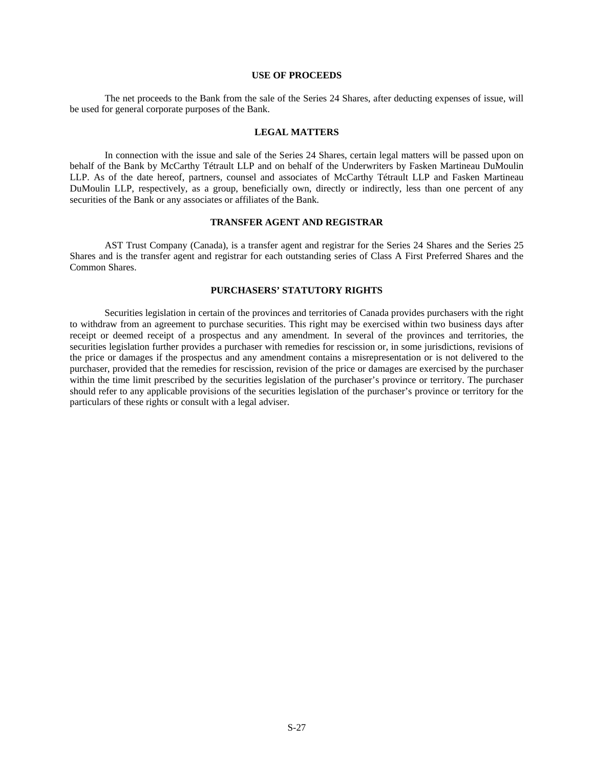# **USE OF PROCEEDS**

<span id="page-26-0"></span>The net proceeds to the Bank from the sale of the Series 24 Shares, after deducting expenses of issue, will be used for general corporate purposes of the Bank.

#### **LEGAL MATTERS**

<span id="page-26-1"></span>In connection with the issue and sale of the Series 24 Shares, certain legal matters will be passed upon on behalf of the Bank by McCarthy Tétrault LLP and on behalf of the Underwriters by Fasken Martineau DuMoulin LLP. As of the date hereof, partners, counsel and associates of McCarthy Tétrault LLP and Fasken Martineau DuMoulin LLP, respectively, as a group, beneficially own, directly or indirectly, less than one percent of any securities of the Bank or any associates or affiliates of the Bank.

# **TRANSFER AGENT AND REGISTRAR**

<span id="page-26-2"></span>AST Trust Company (Canada), is a transfer agent and registrar for the Series 24 Shares and the Series 25 Shares and is the transfer agent and registrar for each outstanding series of Class A First Preferred Shares and the Common Shares.

# **PURCHASERS' STATUTORY RIGHTS**

<span id="page-26-3"></span>Securities legislation in certain of the provinces and territories of Canada provides purchasers with the right to withdraw from an agreement to purchase securities. This right may be exercised within two business days after receipt or deemed receipt of a prospectus and any amendment. In several of the provinces and territories, the securities legislation further provides a purchaser with remedies for rescission or, in some jurisdictions, revisions of the price or damages if the prospectus and any amendment contains a misrepresentation or is not delivered to the purchaser, provided that the remedies for rescission, revision of the price or damages are exercised by the purchaser within the time limit prescribed by the securities legislation of the purchaser's province or territory. The purchaser should refer to any applicable provisions of the securities legislation of the purchaser's province or territory for the particulars of these rights or consult with a legal adviser.